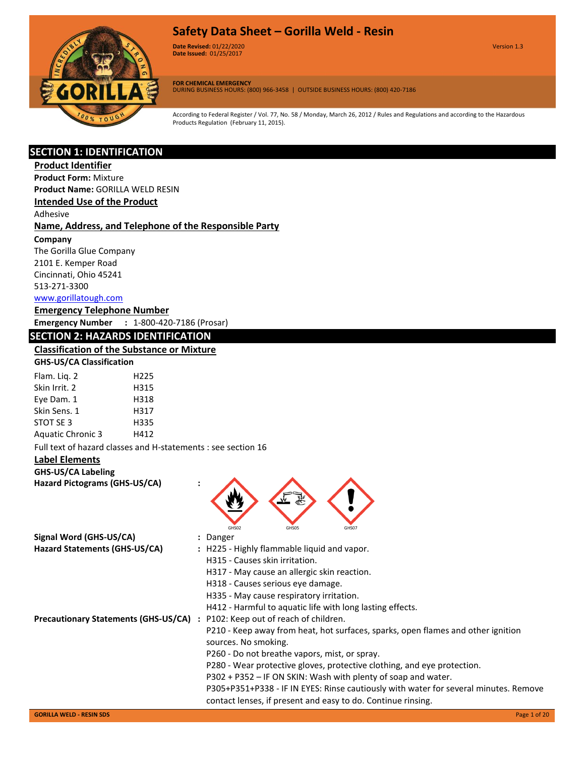

**Date Revised:** 01/22/2020 Version 1.3 **Version 1.0 Date Issued:** 01/25/2017

**FOR CHEMICAL EMERGENCY** DURING BUSINESS HOURS: (800) 966-3458 | OUTSIDE BUSINESS HOURS: (800) 420-7186

According to Federal Register / Vol. 77, No. 58 / Monday, March 26, 2012 / Rules and Regulations and according to the Hazardous Products Regulation (February 11, 2015).

# **SECTION 1: IDENTIFICATION**

# **Product Identifier**

**Product Form:** Mixture

**Product Name:** GORILLA WELD RESIN

**Intended Use of the Product**

Adhesive

#### **Name, Address, and Telephone of the Responsible Party**

**Company** 

The Gorilla Glue Company 2101 E. Kemper Road Cincinnati, Ohio 45241 513-271-3300 [www.gorillatough.com](http://www.gorillatough.com/)

#### **Emergency Telephone Number**

**Emergency Number :** 1-800-420-7186 (Prosar)

# **SECTION 2: HAZARDS IDENTIFICATION**

#### **Classification of the Substance or Mixture GHS-US/CA Classification**

| <u>ss ss, s. . siasssation</u> |      |
|--------------------------------|------|
| Flam. Lig. 2                   | H225 |
| Skin Irrit. 2                  | H315 |
| Eye Dam. 1                     | H318 |
| Skin Sens. 1                   | H317 |
| STOT SE 3                      | H335 |

Aquatic Chronic 3 H412 Full text of hazard classes and H-statements : see section 16

# **Label Elements**

# **GHS-US/CA Labeling**

**Hazard Pictograms (GHS-US/CA) :**

|                                             | GHS02<br>GHS05<br>GHS07                                                                                  |
|---------------------------------------------|----------------------------------------------------------------------------------------------------------|
| Signal Word (GHS-US/CA)                     | : Danger                                                                                                 |
| Hazard Statements (GHS-US/CA)               | : H225 - Highly flammable liquid and vapor.<br>H315 - Causes skin irritation.                            |
|                                             | H317 - May cause an allergic skin reaction.                                                              |
|                                             | H318 - Causes serious eye damage.                                                                        |
|                                             | H335 - May cause respiratory irritation.                                                                 |
|                                             | H412 - Harmful to aquatic life with long lasting effects.                                                |
| <b>Precautionary Statements (GHS-US/CA)</b> | : P102: Keep out of reach of children.                                                                   |
|                                             | P210 - Keep away from heat, hot surfaces, sparks, open flames and other ignition<br>sources. No smoking. |
|                                             | P260 - Do not breathe vapors, mist, or spray.                                                            |
|                                             | P280 - Wear protective gloves, protective clothing, and eye protection.                                  |
|                                             | P302 + P352 - IF ON SKIN: Wash with plenty of soap and water.                                            |
|                                             | P305+P351+P338 - IF IN EYES: Rinse cautiously with water for several minutes. Remove                     |
|                                             | contact lenses, if present and easy to do. Continue rinsing.                                             |
| <b>GORILLA WELD - RESIN SDS</b>             | Page 1 of 20                                                                                             |

**FE**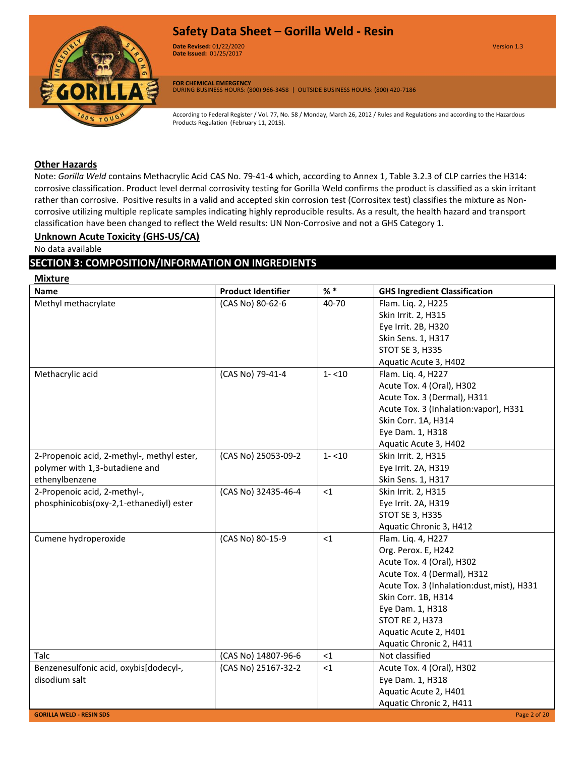

**Date Revised:** 01/22/2020 Version 1.3 **Version 1.0 Date Issued:** 01/25/2017

**FOR CHEMICAL EMERGENCY** DURING BUSINESS HOURS: (800) 966-3458 | OUTSIDE BUSINESS HOURS: (800) 420-7186

According to Federal Register / Vol. 77, No. 58 / Monday, March 26, 2012 / Rules and Regulations and according to the Hazardous Products Regulation (February 11, 2015).

# **Other Hazards**

Note: *Gorilla Weld* contains Methacrylic Acid CAS No. 79-41-4 which, according to Annex 1, Table 3.2.3 of CLP carries the H314: corrosive classification. Product level dermal corrosivity testing for Gorilla Weld confirms the product is classified as a skin irritant rather than corrosive. Positive results in a valid and accepted skin corrosion test (Corrositex test) classifies the mixture as Noncorrosive utilizing multiple replicate samples indicating highly reproducible results. As a result, the health hazard and transport classification have been changed to reflect the Weld results: UN Non-Corrosive and not a GHS Category 1.

#### **Unknown Acute Toxicity (GHS-US/CA)**

No data available

# **SECTION 3: COMPOSITION/INFORMATION ON INGREDIENTS**

**Mixture Name Product Identifier % \* GHS Ingredient Classification** Methyl methacrylate  $\vert$  (CAS No) 80-62-6  $\vert$  40-70 Flam. Liq. 2, H225 Skin Irrit. 2, H315 Eye Irrit. 2B, H320 Skin Sens. 1, H317 STOT SE 3, H335 Aquatic Acute 3, H402 Methacrylic acid (CAS No) 79-41-4 1- <10 Flam. Liq. 4, H227 Acute Tox. 4 (Oral), H302 Acute Tox. 3 (Dermal), H311 Acute Tox. 3 (Inhalation:vapor), H331 Skin Corr. 1A, H314 Eye Dam. 1, H318 Aquatic Acute 3, H402 2-Propenoic acid, 2-methyl-, methyl ester, polymer with 1,3-butadiene and ethenylbenzene (CAS No) 25053-09-2 1- <10 Skin Irrit. 2, H315 Eye Irrit. 2A, H319 Skin Sens. 1, H317 2-Propenoic acid, 2-methyl-, phosphinicobis(oxy-2,1-ethanediyl) ester (CAS No) 32435-46-4 <1 Skin Irrit. 2, H315 Eye Irrit. 2A, H319 STOT SE 3, H335 Aquatic Chronic 3, H412 Cumene hydroperoxide (CAS No) 80-15-9 <1 Flam. Liq. 4, H227 Org. Perox. E, H242 Acute Tox. 4 (Oral), H302 Acute Tox. 4 (Dermal), H312 Acute Tox. 3 (Inhalation:dust,mist), H331 Skin Corr. 1B, H314 Eye Dam. 1, H318 STOT RE 2, H373 Aquatic Acute 2, H401 Aquatic Chronic 2, H411 Talc (CAS No) 14807-96-6 <1 Not classified Benzenesulfonic acid, oxybis[dodecyl-, disodium salt  $(CAS No) 25167-32-2 \mid <1$  Acute Tox. 4 (Oral), H302 Eye Dam. 1, H318 Aquatic Acute 2, H401 Aquatic Chronic 2, H411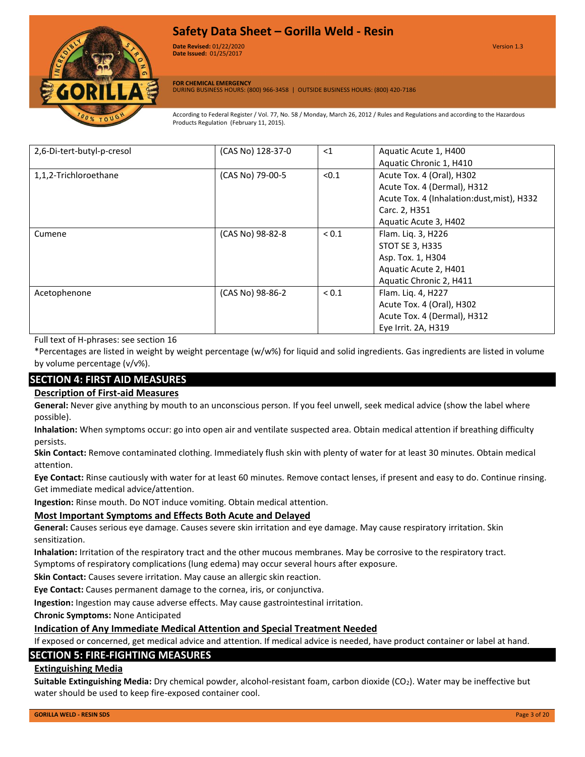

**Date Revised:** 01/22/2020 Version 1.3 **Version 1.0 Date Issued:** 01/25/2017

**FOR CHEMICAL EMERGENCY** DURING BUSINESS HOURS: (800) 966-3458 | OUTSIDE BUSINESS HOURS: (800) 420-7186

According to Federal Register / Vol. 77, No. 58 / Monday, March 26, 2012 / Rules and Regulations and according to the Hazardous Products Regulation (February 11, 2015).

| 2,6-Di-tert-butyl-p-cresol | (CAS No) 128-37-0 | $<$ 1      | Aquatic Acute 1, H400                      |
|----------------------------|-------------------|------------|--------------------------------------------|
|                            |                   |            | Aquatic Chronic 1, H410                    |
| 1,1,2-Trichloroethane      | (CAS No) 79-00-5  | < 0.1      | Acute Tox. 4 (Oral), H302                  |
|                            |                   |            | Acute Tox. 4 (Dermal), H312                |
|                            |                   |            | Acute Tox. 4 (Inhalation:dust, mist), H332 |
|                            |                   |            | Carc. 2, H351                              |
|                            |                   |            | Aquatic Acute 3, H402                      |
| Cumene                     | (CAS No) 98-82-8  | ${}_{0.1}$ | Flam. Liq. 3, H226                         |
|                            |                   |            | <b>STOT SE 3, H335</b>                     |
|                            |                   |            | Asp. Tox. 1, H304                          |
|                            |                   |            | Aquatic Acute 2, H401                      |
|                            |                   |            | Aquatic Chronic 2, H411                    |
| Acetophenone               | (CAS No) 98-86-2  | ${}_{0.1}$ | Flam. Liq. 4, H227                         |
|                            |                   |            | Acute Tox. 4 (Oral), H302                  |
|                            |                   |            | Acute Tox. 4 (Dermal), H312                |
|                            |                   |            | Eye Irrit. 2A, H319                        |

Full text of H-phrases: see section 16

\*Percentages are listed in weight by weight percentage (w/w%) for liquid and solid ingredients. Gas ingredients are listed in volume by volume percentage (v/v%).

# **SECTION 4: FIRST AID MEASURES**

# **Description of First-aid Measures**

**General:** Never give anything by mouth to an unconscious person. If you feel unwell, seek medical advice (show the label where possible).

**Inhalation:** When symptoms occur: go into open air and ventilate suspected area. Obtain medical attention if breathing difficulty persists.

**Skin Contact:** Remove contaminated clothing. Immediately flush skin with plenty of water for at least 30 minutes. Obtain medical attention.

**Eye Contact:** Rinse cautiously with water for at least 60 minutes. Remove contact lenses, if present and easy to do. Continue rinsing. Get immediate medical advice/attention.

**Ingestion:** Rinse mouth. Do NOT induce vomiting. Obtain medical attention.

# **Most Important Symptoms and Effects Both Acute and Delayed**

**General:** Causes serious eye damage. Causes severe skin irritation and eye damage. May cause respiratory irritation. Skin sensitization.

**Inhalation:** Irritation of the respiratory tract and the other mucous membranes. May be corrosive to the respiratory tract. Symptoms of respiratory complications (lung edema) may occur several hours after exposure.

**Skin Contact:** Causes severe irritation. May cause an allergic skin reaction.

**Eye Contact:** Causes permanent damage to the cornea, iris, or conjunctiva.

**Ingestion:** Ingestion may cause adverse effects. May cause gastrointestinal irritation.

**Chronic Symptoms:** None Anticipated

# **Indication of Any Immediate Medical Attention and Special Treatment Needed**

If exposed or concerned, get medical advice and attention. If medical advice is needed, have product container or label at hand.

# **SECTION 5: FIRE-FIGHTING MEASURES**

#### **Extinguishing Media**

**Suitable Extinguishing Media:** Dry chemical powder, alcohol-resistant foam, carbon dioxide (CO<sub>2</sub>). Water may be ineffective but water should be used to keep fire-exposed container cool.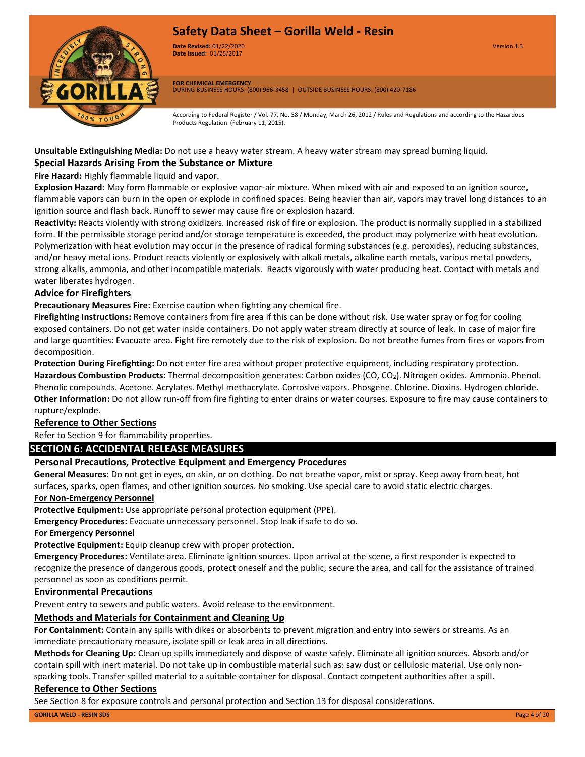

**Date Revised:** 01/22/2020 Version 1.3 **Version 1.0 Date Issued:** 01/25/2017

**FOR CHEMICAL EMERGENCY** DURING BUSINESS HOURS: (800) 966-3458 | OUTSIDE BUSINESS HOURS: (800) 420-7186

According to Federal Register / Vol. 77, No. 58 / Monday, March 26, 2012 / Rules and Regulations and according to the Hazardous Products Regulation (February 11, 2015).

# **Special Hazards Arising From the Substance or Mixture Unsuitable Extinguishing Media:** Do not use a heavy water stream. A heavy water stream may spread burning liquid.

#### **Fire Hazard:** Highly flammable liquid and vapor.

**Explosion Hazard:** May form flammable or explosive vapor-air mixture. When mixed with air and exposed to an ignition source, flammable vapors can burn in the open or explode in confined spaces. Being heavier than air, vapors may travel long distances to an ignition source and flash back. Runoff to sewer may cause fire or explosion hazard.

**Reactivity:** Reacts violently with strong oxidizers. Increased risk of fire or explosion. The product is normally supplied in a stabilized form. If the permissible storage period and/or storage temperature is exceeded, the product may polymerize with heat evolution. Polymerization with heat evolution may occur in the presence of radical forming substances (e.g. peroxides), reducing substances, and/or heavy metal ions. Product reacts violently or explosively with alkali metals, alkaline earth metals, various metal powders, strong alkalis, ammonia, and other incompatible materials. Reacts vigorously with water producing heat. Contact with metals and water liberates hydrogen.

#### **Advice for Firefighters**

**Precautionary Measures Fire:** Exercise caution when fighting any chemical fire.

**Firefighting Instructions:** Remove containers from fire area if this can be done without risk. Use water spray or fog for cooling exposed containers. Do not get water inside containers. Do not apply water stream directly at source of leak. In case of major fire and large quantities: Evacuate area. Fight fire remotely due to the risk of explosion. Do not breathe fumes from fires or vapors from decomposition.

**Protection During Firefighting:** Do not enter fire area without proper protective equipment, including respiratory protection. **Hazardous Combustion Products**: Thermal decomposition generates: Carbon oxides (CO, CO2). Nitrogen oxides. Ammonia. Phenol. Phenolic compounds. Acetone. Acrylates. Methyl methacrylate. Corrosive vapors. Phosgene. Chlorine. Dioxins. Hydrogen chloride. **Other Information:** Do not allow run-off from fire fighting to enter drains or water courses. Exposure to fire may cause containers to rupture/explode.

# **Reference to Other Sections**

Refer to Section 9 for flammability properties.

# **SECTION 6: ACCIDENTAL RELEASE MEASURES**

# **Personal Precautions, Protective Equipment and Emergency Procedures**

**General Measures:** Do not get in eyes, on skin, or on clothing. Do not breathe vapor, mist or spray. Keep away from heat, hot surfaces, sparks, open flames, and other ignition sources. No smoking. Use special care to avoid static electric charges.

# **For Non-Emergency Personnel**

**Protective Equipment:** Use appropriate personal protection equipment (PPE).

**Emergency Procedures:** Evacuate unnecessary personnel. Stop leak if safe to do so.

#### **For Emergency Personnel**

**Protective Equipment:** Equip cleanup crew with proper protection.

**Emergency Procedures:** Ventilate area. Eliminate ignition sources. Upon arrival at the scene, a first responder is expected to recognize the presence of dangerous goods, protect oneself and the public, secure the area, and call for the assistance of trained personnel as soon as conditions permit.

# **Environmental Precautions**

Prevent entry to sewers and public waters. Avoid release to the environment.

# **Methods and Materials for Containment and Cleaning Up**

**For Containment:** Contain any spills with dikes or absorbents to prevent migration and entry into sewers or streams. As an immediate precautionary measure, isolate spill or leak area in all directions.

**Methods for Cleaning Up:** Clean up spills immediately and dispose of waste safely. Eliminate all ignition sources. Absorb and/or contain spill with inert material. Do not take up in combustible material such as: saw dust or cellulosic material. Use only nonsparking tools. Transfer spilled material to a suitable container for disposal. Contact competent authorities after a spill.

# **Reference to Other Sections**

See Section 8 for exposure controls and personal protection and Section 13 for disposal considerations.

**GORILLA WELD - RESIN SDS** Page 4 of 20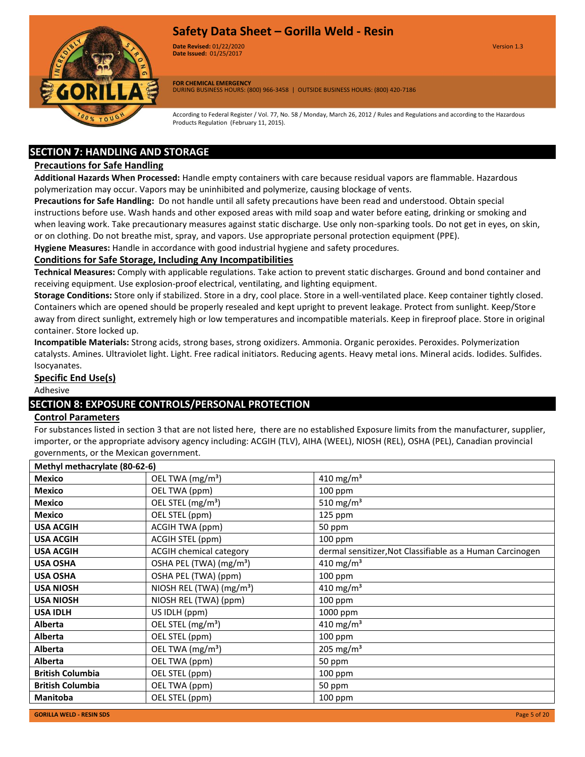

**Date Revised:** 01/22/2020 Version 1.3 **Version 1.0 Date Issued:** 01/25/2017

**FOR CHEMICAL EMERGENCY** DURING BUSINESS HOURS: (800) 966-3458 | OUTSIDE BUSINESS HOURS: (800) 420-7186

According to Federal Register / Vol. 77, No. 58 / Monday, March 26, 2012 / Rules and Regulations and according to the Hazardous Products Regulation (February 11, 2015).

# **SECTION 7: HANDLING AND STORAGE**

# **Precautions for Safe Handling**

**Additional Hazards When Processed:** Handle empty containers with care because residual vapors are flammable. Hazardous polymerization may occur. Vapors may be uninhibited and polymerize, causing blockage of vents.

**Precautions for Safe Handling:** Do not handle until all safety precautions have been read and understood. Obtain special instructions before use. Wash hands and other exposed areas with mild soap and water before eating, drinking or smoking and when leaving work. Take precautionary measures against static discharge. Use only non-sparking tools. Do not get in eyes, on skin, or on clothing. Do not breathe mist, spray, and vapors. Use appropriate personal protection equipment (PPE).

**Hygiene Measures:** Handle in accordance with good industrial hygiene and safety procedures.

# **Conditions for Safe Storage, Including Any Incompatibilities**

**Technical Measures:** Comply with applicable regulations. Take action to prevent static discharges. Ground and bond container and receiving equipment. Use explosion-proof electrical, ventilating, and lighting equipment.

**Storage Conditions:** Store only if stabilized. Store in a dry, cool place. Store in a well-ventilated place. Keep container tightly closed. Containers which are opened should be properly resealed and kept upright to prevent leakage. Protect from sunlight. Keep/Store away from direct sunlight, extremely high or low temperatures and incompatible materials. Keep in fireproof place. Store in original container. Store locked up.

**Incompatible Materials:** Strong acids, strong bases, strong oxidizers. Ammonia. Organic peroxides. Peroxides. Polymerization catalysts. Amines. Ultraviolet light. Light. Free radical initiators. Reducing agents. Heavy metal ions. Mineral acids. Iodides. Sulfides. Isocyanates.

# **Specific End Use(s)**

Adhesive

# **SECTION 8: EXPOSURE CONTROLS/PERSONAL PROTECTION**

# **Control Parameters**

For substances listed in section 3 that are not listed here, there are no established Exposure limits from the manufacturer, supplier, importer, or the appropriate advisory agency including: ACGIH (TLV), AIHA (WEEL), NIOSH (REL), OSHA (PEL), Canadian provincial governments, or the Mexican government.

| Methyl methacrylate (80-62-6) |                                      |                                                           |
|-------------------------------|--------------------------------------|-----------------------------------------------------------|
| <b>Mexico</b>                 | OEL TWA (mg/m <sup>3</sup> )         | 410 mg/m <sup>3</sup>                                     |
| <b>Mexico</b>                 | OEL TWA (ppm)                        | 100 ppm                                                   |
| <b>Mexico</b>                 | OEL STEL (mg/m <sup>3</sup> )        | 510 mg/m <sup>3</sup>                                     |
| <b>Mexico</b>                 | OEL STEL (ppm)                       | 125 ppm                                                   |
| <b>USA ACGIH</b>              | ACGIH TWA (ppm)                      | 50 ppm                                                    |
| <b>USA ACGIH</b>              | ACGIH STEL (ppm)                     | 100 ppm                                                   |
| <b>USA ACGIH</b>              | <b>ACGIH chemical category</b>       | dermal sensitizer, Not Classifiable as a Human Carcinogen |
| <b>USA OSHA</b>               | OSHA PEL (TWA) (mg/m <sup>3</sup> )  | 410 mg/m <sup>3</sup>                                     |
| <b>USA OSHA</b>               | OSHA PEL (TWA) (ppm)                 | 100 ppm                                                   |
| <b>USA NIOSH</b>              | NIOSH REL (TWA) (mg/m <sup>3</sup> ) | 410 mg/m <sup>3</sup>                                     |
| <b>USA NIOSH</b>              | NIOSH REL (TWA) (ppm)                | 100 ppm                                                   |
| <b>USA IDLH</b>               | US IDLH (ppm)                        | 1000 ppm                                                  |
| <b>Alberta</b>                | OEL STEL (mg/m <sup>3</sup> )        | 410 mg/m <sup>3</sup>                                     |
| <b>Alberta</b>                | OEL STEL (ppm)                       | $100$ ppm                                                 |
| <b>Alberta</b>                | OEL TWA (mg/m <sup>3</sup> )         | 205 mg/m <sup>3</sup>                                     |
| <b>Alberta</b>                | OEL TWA (ppm)                        | 50 ppm                                                    |
| <b>British Columbia</b>       | OEL STEL (ppm)                       | 100 ppm                                                   |
| <b>British Columbia</b>       | OEL TWA (ppm)                        | 50 ppm                                                    |
| <b>Manitoba</b>               | OEL STEL (ppm)                       | 100 ppm                                                   |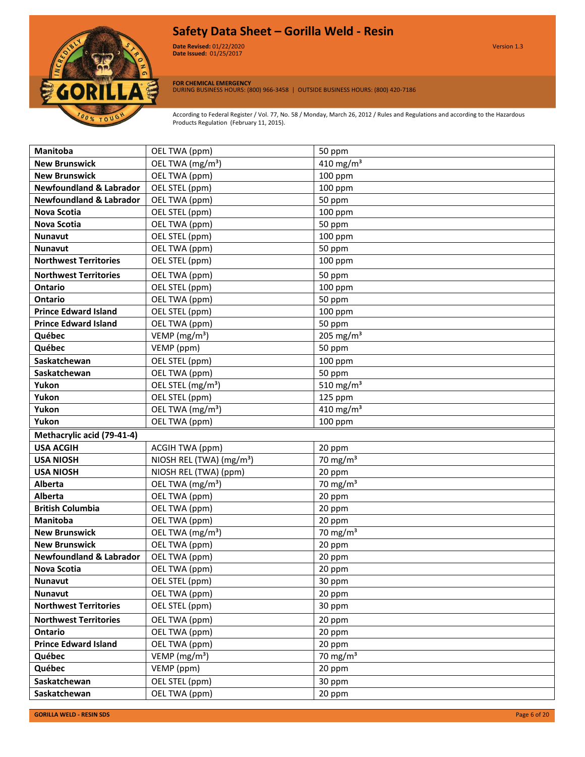

**Date Revised:** 01/22/2020 Version 1.3 **Version 1.0 Date Issued:** 01/25/2017

**FOR CHEMICAL EMERGENCY**

DURING BUSINESS HOURS: (800) 966-3458 | OUTSIDE BUSINESS HOURS: (800) 420-7186

According to Federal Register / Vol. 77, No. 58 / Monday, March 26, 2012 / Rules and Regulations and according to the Hazardous Products Regulation (February 11, 2015).

| <b>Manitoba</b>                    | OEL TWA (ppm)                        | 50 ppm                |
|------------------------------------|--------------------------------------|-----------------------|
| <b>New Brunswick</b>               | OEL TWA (mg/m <sup>3</sup> )         | 410 mg/m <sup>3</sup> |
| <b>New Brunswick</b>               | OEL TWA (ppm)                        | 100 ppm               |
| <b>Newfoundland &amp; Labrador</b> | OEL STEL (ppm)                       | 100 ppm               |
| <b>Newfoundland &amp; Labrador</b> | OEL TWA (ppm)                        | 50 ppm                |
| <b>Nova Scotia</b>                 | OEL STEL (ppm)                       | 100 ppm               |
| <b>Nova Scotia</b>                 | OEL TWA (ppm)                        | 50 ppm                |
| <b>Nunavut</b>                     | OEL STEL (ppm)                       | 100 ppm               |
| <b>Nunavut</b>                     | OEL TWA (ppm)                        | 50 ppm                |
| <b>Northwest Territories</b>       | OEL STEL (ppm)                       | 100 ppm               |
| <b>Northwest Territories</b>       | OEL TWA (ppm)                        | 50 ppm                |
| <b>Ontario</b>                     | OEL STEL (ppm)                       | 100 ppm               |
| <b>Ontario</b>                     | OEL TWA (ppm)                        | 50 ppm                |
| <b>Prince Edward Island</b>        | OEL STEL (ppm)                       | 100 ppm               |
| <b>Prince Edward Island</b>        | OEL TWA (ppm)                        | 50 ppm                |
| Québec                             | VEMP ( $mg/m3$ )                     | 205 mg/m $3$          |
| Québec                             | VEMP (ppm)                           | 50 ppm                |
| Saskatchewan                       | OEL STEL (ppm)                       | 100 ppm               |
| Saskatchewan                       | OEL TWA (ppm)                        | 50 ppm                |
| Yukon                              | OEL STEL (mg/m <sup>3</sup> )        | 510 mg/m <sup>3</sup> |
| Yukon                              | OEL STEL (ppm)                       | 125 ppm               |
| Yukon                              | OEL TWA (mg/m <sup>3</sup> )         | 410 mg/m $3$          |
| Yukon                              | OEL TWA (ppm)                        | 100 ppm               |
|                                    |                                      |                       |
| Methacrylic acid (79-41-4)         |                                      |                       |
| <b>USA ACGIH</b>                   | <b>ACGIH TWA (ppm)</b>               | 20 ppm                |
| <b>USA NIOSH</b>                   | NIOSH REL (TWA) (mg/m <sup>3</sup> ) | 70 mg/m $3$           |
| <b>USA NIOSH</b>                   | NIOSH REL (TWA) (ppm)                | 20 ppm                |
| <b>Alberta</b>                     | OEL TWA (mg/m <sup>3</sup> )         | 70 mg/m $3$           |
| <b>Alberta</b>                     | OEL TWA (ppm)                        | 20 ppm                |
| <b>British Columbia</b>            | OEL TWA (ppm)                        | 20 ppm                |
| Manitoba                           | OEL TWA (ppm)                        | 20 ppm                |
| <b>New Brunswick</b>               | OEL TWA (mg/m <sup>3</sup> )         | 70 mg/m $3$           |
| <b>New Brunswick</b>               | OEL TWA (ppm)                        | 20 ppm                |
| <b>Newfoundland &amp; Labrador</b> | OEL TWA (ppm)                        | 20 ppm                |
| Nova Scotia                        | OEL TWA (ppm)                        | 20 ppm                |
| <b>Nunavut</b>                     | OEL STEL (ppm)                       | 30 ppm                |
| <b>Nunavut</b>                     | OEL TWA (ppm)                        | 20 ppm                |
| <b>Northwest Territories</b>       | OEL STEL (ppm)                       | 30 ppm                |
| <b>Northwest Territories</b>       | OEL TWA (ppm)                        | 20 ppm                |
| Ontario                            | OEL TWA (ppm)                        | 20 ppm                |
| <b>Prince Edward Island</b>        | OEL TWA (ppm)                        | 20 ppm                |
| Québec                             | VEMP ( $mg/m3$ )                     | 70 mg/m $3$           |
| Québec                             | VEMP (ppm)                           | 20 ppm                |
| Saskatchewan                       | OEL STEL (ppm)                       | 30 ppm                |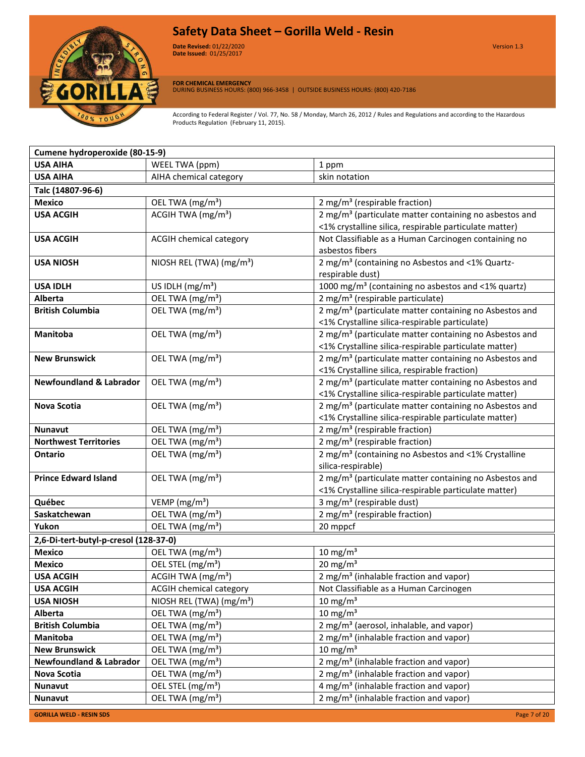

**Date Revised:** 01/22/2020 Version 1.3 **Version 1.0 Date Issued:** 01/25/2017

**FOR CHEMICAL EMERGENCY** DURING BUSINESS HOURS: (800) 966-3458 | OUTSIDE BUSINESS HOURS: (800) 420-7186

According to Federal Register / Vol. 77, No. 58 / Monday, March 26, 2012 / Rules and Regulations and according to the Hazardous Products Regulation (February 11, 2015).

| Cumene hydroperoxide (80-15-9)        |                                      |                                                                                                                    |
|---------------------------------------|--------------------------------------|--------------------------------------------------------------------------------------------------------------------|
| <b>USA AIHA</b>                       | WEEL TWA (ppm)                       | 1 ppm                                                                                                              |
| <b>USA AIHA</b>                       | AIHA chemical category               | skin notation                                                                                                      |
| Talc (14807-96-6)                     |                                      |                                                                                                                    |
| <b>Mexico</b>                         | OEL TWA (mg/m <sup>3</sup> )         | 2 mg/m <sup>3</sup> (respirable fraction)                                                                          |
| <b>USA ACGIH</b>                      | ACGIH TWA (mg/m <sup>3</sup> )       | 2 mg/m <sup>3</sup> (particulate matter containing no asbestos and                                                 |
|                                       |                                      | <1% crystalline silica, respirable particulate matter)                                                             |
| <b>USA ACGIH</b>                      | ACGIH chemical category              | Not Classifiable as a Human Carcinogen containing no                                                               |
|                                       |                                      | asbestos fibers                                                                                                    |
| <b>USA NIOSH</b>                      | NIOSH REL (TWA) (mg/m <sup>3</sup> ) | 2 mg/m <sup>3</sup> (containing no Asbestos and <1% Quartz-                                                        |
|                                       |                                      | respirable dust)                                                                                                   |
| <b>USA IDLH</b>                       | US IDLH (mg/m <sup>3</sup> )         | 1000 mg/m <sup>3</sup> (containing no asbestos and <1% quartz)                                                     |
| <b>Alberta</b>                        | OEL TWA (mg/m <sup>3</sup> )         | 2 mg/m <sup>3</sup> (respirable particulate)                                                                       |
| <b>British Columbia</b>               | OEL TWA (mg/m <sup>3</sup> )         | 2 mg/m <sup>3</sup> (particulate matter containing no Asbestos and                                                 |
|                                       |                                      | <1% Crystalline silica-respirable particulate)                                                                     |
| <b>Manitoba</b>                       | OEL TWA (mg/m <sup>3</sup> )         | 2 mg/m <sup>3</sup> (particulate matter containing no Asbestos and                                                 |
|                                       |                                      | <1% Crystalline silica-respirable particulate matter)                                                              |
| <b>New Brunswick</b>                  | OEL TWA (mg/m <sup>3</sup> )         | 2 mg/m <sup>3</sup> (particulate matter containing no Asbestos and                                                 |
| <b>Newfoundland &amp; Labrador</b>    | OEL TWA (mg/m <sup>3</sup> )         | <1% Crystalline silica, respirable fraction)<br>2 mg/m <sup>3</sup> (particulate matter containing no Asbestos and |
|                                       |                                      | <1% Crystalline silica-respirable particulate matter)                                                              |
| <b>Nova Scotia</b>                    | OEL TWA (mg/m <sup>3</sup> )         | 2 mg/m <sup>3</sup> (particulate matter containing no Asbestos and                                                 |
|                                       |                                      | <1% Crystalline silica-respirable particulate matter)                                                              |
| <b>Nunavut</b>                        | OEL TWA (mg/m <sup>3</sup> )         | 2 mg/m <sup>3</sup> (respirable fraction)                                                                          |
| <b>Northwest Territories</b>          | OEL TWA (mg/m <sup>3</sup> )         | 2 mg/m <sup>3</sup> (respirable fraction)                                                                          |
| Ontario                               | OEL TWA (mg/m <sup>3</sup> )         | 2 mg/m <sup>3</sup> (containing no Asbestos and <1% Crystalline                                                    |
|                                       |                                      | silica-respirable)                                                                                                 |
| <b>Prince Edward Island</b>           | OEL TWA (mg/m <sup>3</sup> )         | 2 mg/m <sup>3</sup> (particulate matter containing no Asbestos and                                                 |
|                                       |                                      | <1% Crystalline silica-respirable particulate matter)                                                              |
| Québec                                | VEMP (mg/m <sup>3</sup> )            | 3 mg/m <sup>3</sup> (respirable dust)                                                                              |
| Saskatchewan                          | OEL TWA (mg/m <sup>3</sup> )         | 2 mg/m <sup>3</sup> (respirable fraction)                                                                          |
| Yukon                                 | OEL TWA (mg/m <sup>3</sup> )         | 20 mppcf                                                                                                           |
| 2,6-Di-tert-butyl-p-cresol (128-37-0) |                                      |                                                                                                                    |
| <b>Mexico</b>                         | OEL TWA (mg/m <sup>3</sup> )         | 10 mg/m $3$                                                                                                        |
| <b>Mexico</b>                         | OEL STEL (mg/m <sup>3</sup> )        | 20 mg/m <sup>3</sup>                                                                                               |
| <b>USA ACGIH</b>                      | ACGIH TWA (mg/m <sup>3</sup> )       | 2 mg/m <sup>3</sup> (inhalable fraction and vapor)                                                                 |
| <b>USA ACGIH</b>                      | <b>ACGIH chemical category</b>       | Not Classifiable as a Human Carcinogen                                                                             |
| <b>USA NIOSH</b>                      | NIOSH REL (TWA) (mg/m <sup>3</sup> ) | 10 mg/m <sup>3</sup>                                                                                               |
| Alberta                               | OEL TWA (mg/m <sup>3</sup> )         | $10 \text{ mg/m}^3$                                                                                                |
| <b>British Columbia</b>               | OEL TWA (mg/m <sup>3</sup> )         | 2 mg/m <sup>3</sup> (aerosol, inhalable, and vapor)                                                                |
| Manitoba                              | OEL TWA (mg/m <sup>3</sup> )         | 2 mg/m <sup>3</sup> (inhalable fraction and vapor)                                                                 |
| <b>New Brunswick</b>                  | OEL TWA (mg/m <sup>3</sup> )         | 10 mg/m $3$                                                                                                        |
| <b>Newfoundland &amp; Labrador</b>    | OEL TWA (mg/m <sup>3</sup> )         | 2 mg/m <sup>3</sup> (inhalable fraction and vapor)                                                                 |
| <b>Nova Scotia</b>                    | OEL TWA (mg/m <sup>3</sup> )         | 2 mg/m <sup>3</sup> (inhalable fraction and vapor)                                                                 |
| <b>Nunavut</b>                        | OEL STEL (mg/m <sup>3</sup> )        | 4 mg/m <sup>3</sup> (inhalable fraction and vapor)                                                                 |
| Nunavut                               | OEL TWA (mg/m <sup>3</sup> )         | 2 mg/m <sup>3</sup> (inhalable fraction and vapor)                                                                 |

**GORILLA WELD - RESIN SDS** Page 7 of 20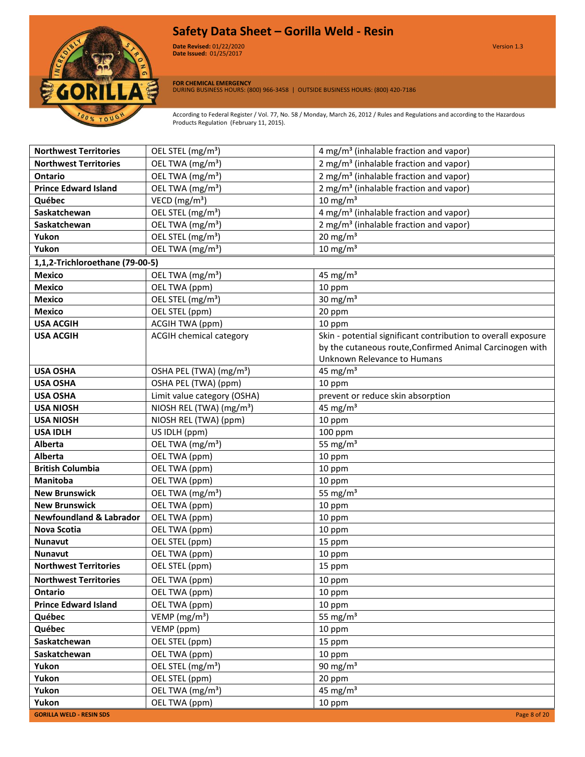

**Date Revised:** 01/22/2020 Version 1.3 **Version 1.0 Date Issued:** 01/25/2017

**FOR CHEMICAL EMERGENCY** DURING BUSINESS HOURS: (800) 966-3458 | OUTSIDE BUSINESS HOURS: (800) 420-7186

According to Federal Register / Vol. 77, No. 58 / Monday, March 26, 2012 / Rules and Regulations and according to the Hazardous Products Regulation (February 11, 2015).

| <b>Northwest Territories</b>       | OEL STEL (mg/m <sup>3</sup> )           | 4 mg/m <sup>3</sup> (inhalable fraction and vapor)            |
|------------------------------------|-----------------------------------------|---------------------------------------------------------------|
| <b>Northwest Territories</b>       | OEL TWA (mg/m <sup>3</sup> )            | 2 mg/m <sup>3</sup> (inhalable fraction and vapor)            |
| Ontario                            | OEL TWA (mg/m <sup>3</sup> )            | 2 mg/m <sup>3</sup> (inhalable fraction and vapor)            |
| <b>Prince Edward Island</b>        | OEL TWA (mg/m <sup>3</sup> )            | 2 mg/m <sup>3</sup> (inhalable fraction and vapor)            |
| Québec                             | VECD ( $mg/m3$ )                        | $10 \text{ mg/m}^3$                                           |
| Saskatchewan                       | OEL STEL (mg/m <sup>3</sup> )           | 4 mg/m <sup>3</sup> (inhalable fraction and vapor)            |
| Saskatchewan                       | OEL TWA (mg/m <sup>3</sup> )            | 2 mg/m <sup>3</sup> (inhalable fraction and vapor)            |
| Yukon                              | OEL STEL (mg/m <sup>3</sup> )           | $20 \text{ mg/m}^3$                                           |
| Yukon                              | OEL TWA (mg/m <sup>3</sup> )            | 10 mg/m $3$                                                   |
| 1,1,2-Trichloroethane (79-00-5)    |                                         |                                                               |
| <b>Mexico</b>                      | OEL TWA (mg/m <sup>3</sup> )            | 45 mg/ $m3$                                                   |
| <b>Mexico</b>                      | OEL TWA (ppm)                           | 10 ppm                                                        |
| <b>Mexico</b>                      | OEL STEL (mg/m <sup>3</sup> )           | 30 mg/ $m3$                                                   |
| <b>Mexico</b>                      | OEL STEL (ppm)                          | 20 ppm                                                        |
| <b>USA ACGIH</b>                   | ACGIH TWA (ppm)                         | 10 ppm                                                        |
| <b>USA ACGIH</b>                   | <b>ACGIH chemical category</b>          | Skin - potential significant contribution to overall exposure |
|                                    |                                         | by the cutaneous route, Confirmed Animal Carcinogen with      |
|                                    |                                         | Unknown Relevance to Humans                                   |
| <b>USA OSHA</b>                    | OSHA PEL (TWA) (mg/m <sup>3</sup> )     | 45 mg/ $m3$                                                   |
| <b>USA OSHA</b>                    | OSHA PEL (TWA) (ppm)                    | 10 ppm                                                        |
| <b>USA OSHA</b>                    | Limit value category (OSHA)             | prevent or reduce skin absorption                             |
| <b>USA NIOSH</b>                   | NIOSH REL (TWA) (mg/m <sup>3</sup> )    | 45 mg/ $m3$                                                   |
| <b>USA NIOSH</b>                   | NIOSH REL (TWA) (ppm)                   | 10 ppm                                                        |
| <b>USA IDLH</b>                    | US IDLH (ppm)                           | 100 ppm                                                       |
| Alberta                            | OEL TWA (mg/m <sup>3</sup> )            | 55 mg/ $m3$                                                   |
| <b>Alberta</b>                     | OEL TWA (ppm)                           | 10 ppm                                                        |
| <b>British Columbia</b>            | OEL TWA (ppm)                           | 10 ppm                                                        |
| <b>Manitoba</b>                    | OEL TWA (ppm)                           | 10 ppm                                                        |
| <b>New Brunswick</b>               | OEL TWA (mg/m <sup>3</sup> )            | 55 mg/ $m3$                                                   |
| <b>New Brunswick</b>               | OEL TWA (ppm)                           | 10 ppm                                                        |
| <b>Newfoundland &amp; Labrador</b> | OEL TWA (ppm)                           | 10 ppm                                                        |
| <b>Nova Scotia</b>                 | OEL TWA (ppm)                           | 10 ppm                                                        |
| Nunavut                            | OEL STEL (ppm)                          | 15 ppm                                                        |
| Nunavut                            | OEL TWA (ppm)                           | 10 ppm                                                        |
| <b>Northwest Territories</b>       | OEL STEL (ppm)                          | 15 ppm                                                        |
| <b>Northwest Territories</b>       | OEL TWA (ppm)                           | 10 ppm                                                        |
| Ontario                            | OEL TWA (ppm)                           | 10 ppm                                                        |
| <b>Prince Edward Island</b>        | OEL TWA (ppm)                           | 10 ppm                                                        |
| Québec                             | $\overline{V}$ EMP (mg/m <sup>3</sup> ) | 55 mg/ $m3$                                                   |
| Québec                             | VEMP (ppm)                              | 10 ppm                                                        |
| Saskatchewan                       | OEL STEL (ppm)                          | 15 ppm                                                        |
| Saskatchewan                       | OEL TWA (ppm)                           | 10 ppm                                                        |
| Yukon                              | OEL STEL (mg/m <sup>3</sup> )           | 90 mg/m $3$                                                   |
| Yukon                              | OEL STEL (ppm)                          | 20 ppm                                                        |
| Yukon                              | OEL TWA (mg/m <sup>3</sup> )            | 45 mg/ $m3$                                                   |
| Yukon                              | OEL TWA (ppm)                           | 10 ppm                                                        |
| <b>GORILLA WELD - RESIN SDS</b>    |                                         | Page 8 of 20                                                  |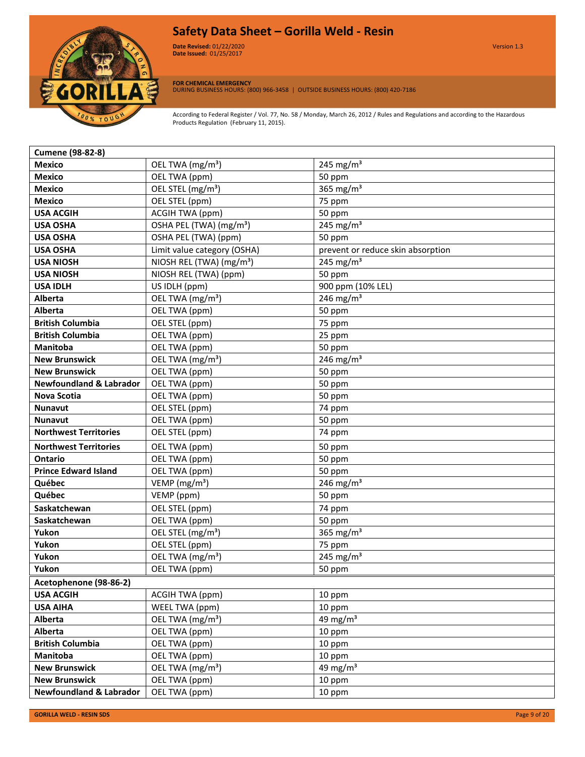

**Date Revised:** 01/22/2020 Version 1.3 **Version 1.0 Date Issued:** 01/25/2017

**FOR CHEMICAL EMERGENCY** DURING BUSINESS HOURS: (800) 966-3458 | OUTSIDE BUSINESS HOURS: (800) 420-7186

According to Federal Register / Vol. 77, No. 58 / Monday, March 26, 2012 / Rules and Regulations and according to the Hazardous Products Regulation (February 11, 2015).

| <b>Cumene (98-82-8)</b>            |                                      |                                   |
|------------------------------------|--------------------------------------|-----------------------------------|
| <b>Mexico</b>                      | OEL TWA (mg/m <sup>3</sup> )         | 245 mg/m <sup>3</sup>             |
| <b>Mexico</b>                      | OEL TWA (ppm)                        | 50 ppm                            |
| <b>Mexico</b>                      | OEL STEL (mg/m <sup>3</sup> )        | 365 mg/m <sup>3</sup>             |
| <b>Mexico</b>                      | OEL STEL (ppm)                       | 75 ppm                            |
| <b>USA ACGIH</b>                   | <b>ACGIH TWA (ppm)</b>               | 50 ppm                            |
| <b>USA OSHA</b>                    | OSHA PEL (TWA) (mg/m <sup>3</sup> )  | 245 mg/m <sup>3</sup>             |
| <b>USA OSHA</b>                    | OSHA PEL (TWA) (ppm)                 | 50 ppm                            |
| <b>USA OSHA</b>                    | Limit value category (OSHA)          | prevent or reduce skin absorption |
| <b>USA NIOSH</b>                   | NIOSH REL (TWA) (mg/m <sup>3</sup> ) | 245 mg/m <sup>3</sup>             |
| <b>USA NIOSH</b>                   | NIOSH REL (TWA) (ppm)                | 50 ppm                            |
| <b>USA IDLH</b>                    | US IDLH (ppm)                        | 900 ppm (10% LEL)                 |
| <b>Alberta</b>                     | OEL TWA (mg/m <sup>3</sup> )         | 246 mg/m <sup>3</sup>             |
| <b>Alberta</b>                     | OEL TWA (ppm)                        | 50 ppm                            |
| <b>British Columbia</b>            | OEL STEL (ppm)                       | 75 ppm                            |
| <b>British Columbia</b>            | OEL TWA (ppm)                        | 25 ppm                            |
| <b>Manitoba</b>                    | OEL TWA (ppm)                        | 50 ppm                            |
| <b>New Brunswick</b>               | OEL TWA (mg/m <sup>3</sup> )         | 246 mg/m <sup>3</sup>             |
| <b>New Brunswick</b>               | OEL TWA (ppm)                        | 50 ppm                            |
| <b>Newfoundland &amp; Labrador</b> | OEL TWA (ppm)                        | 50 ppm                            |
| Nova Scotia                        | OEL TWA (ppm)                        | 50 ppm                            |
| <b>Nunavut</b>                     | OEL STEL (ppm)                       | 74 ppm                            |
| <b>Nunavut</b>                     | OEL TWA (ppm)                        | 50 ppm                            |
| <b>Northwest Territories</b>       | OEL STEL (ppm)                       | 74 ppm                            |
| <b>Northwest Territories</b>       | OEL TWA (ppm)                        | 50 ppm                            |
| <b>Ontario</b>                     | OEL TWA (ppm)                        | 50 ppm                            |
| <b>Prince Edward Island</b>        | OEL TWA (ppm)                        | 50 ppm                            |
| Québec                             | VEMP ( $mg/m3$ )                     | 246 mg/m <sup>3</sup>             |
| Québec                             | VEMP (ppm)                           | 50 ppm                            |
| Saskatchewan                       | OEL STEL (ppm)                       | 74 ppm                            |
| Saskatchewan                       | OEL TWA (ppm)                        | 50 ppm                            |
| Yukon                              | OEL STEL (mg/m <sup>3</sup> )        | 365 mg/m <sup>3</sup>             |
| Yukon                              | OEL STEL (ppm)                       | 75 ppm                            |
| Yukon                              | OEL TWA (mg/m <sup>3</sup> )         | 245 mg/m <sup>3</sup>             |
| Yukon                              | OEL TWA (ppm)                        | 50 ppm                            |
| Acetophenone (98-86-2)             |                                      |                                   |
| <b>USA ACGIH</b>                   | ACGIH TWA (ppm)                      | 10 ppm                            |
| <b>USA AIHA</b>                    | WEEL TWA (ppm)                       | 10 ppm                            |
| <b>Alberta</b>                     | OEL TWA (mg/m <sup>3</sup> )         | 49 mg/m $3$                       |
| <b>Alberta</b>                     | OEL TWA (ppm)                        | 10 ppm                            |
| <b>British Columbia</b>            | OEL TWA (ppm)                        | 10 ppm                            |
| Manitoba                           | OEL TWA (ppm)                        | 10 ppm                            |
| <b>New Brunswick</b>               | OEL TWA (mg/m <sup>3</sup> )         | 49 mg/m $3$                       |
| <b>New Brunswick</b>               | OEL TWA (ppm)                        | 10 ppm                            |
| <b>Newfoundland &amp; Labrador</b> | OEL TWA (ppm)                        | 10 ppm                            |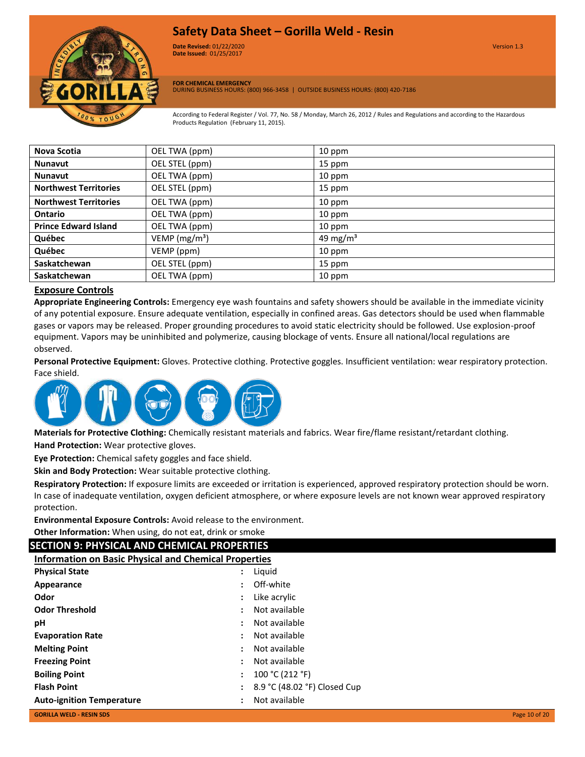

**Date Revised:** 01/22/2020 Version 1.3 **Version 1.0 Date Issued:** 01/25/2017

**FOR CHEMICAL EMERGENCY** DURING BUSINESS HOURS: (800) 966-3458 | OUTSIDE BUSINESS HOURS: (800) 420-7186

According to Federal Register / Vol. 77, No. 58 / Monday, March 26, 2012 / Rules and Regulations and according to the Hazardous Products Regulation (February 11, 2015).

| Nova Scotia                  | OEL TWA (ppm)    | 10 ppm               |
|------------------------------|------------------|----------------------|
| <b>Nunavut</b>               | OEL STEL (ppm)   | 15 ppm               |
| <b>Nunavut</b>               | OEL TWA (ppm)    | 10 ppm               |
| <b>Northwest Territories</b> | OEL STEL (ppm)   | 15 ppm               |
| <b>Northwest Territories</b> | OEL TWA (ppm)    | 10 ppm               |
| <b>Ontario</b>               | OEL TWA (ppm)    | 10 ppm               |
| <b>Prince Edward Island</b>  | OEL TWA (ppm)    | 10 ppm               |
| Québec                       | VEMP ( $mg/m3$ ) | 49 mg/m <sup>3</sup> |
| Québec                       | VEMP (ppm)       | 10 ppm               |
| Saskatchewan                 | OEL STEL (ppm)   | 15 ppm               |
| <b>Saskatchewan</b>          | OEL TWA (ppm)    | 10 ppm               |

# **Exposure Controls**

**Appropriate Engineering Controls:** Emergency eye wash fountains and safety showers should be available in the immediate vicinity of any potential exposure. Ensure adequate ventilation, especially in confined areas. Gas detectors should be used when flammable gases or vapors may be released. Proper grounding procedures to avoid static electricity should be followed. Use explosion-proof equipment. Vapors may be uninhibited and polymerize, causing blockage of vents. Ensure all national/local regulations are observed.

**Personal Protective Equipment:** Gloves. Protective clothing. Protective goggles. Insufficient ventilation: wear respiratory protection. Face shield.



**Materials for Protective Clothing:** Chemically resistant materials and fabrics. Wear fire/flame resistant/retardant clothing. **Hand Protection:** Wear protective gloves.

**Eye Protection:** Chemical safety goggles and face shield.

**Skin and Body Protection:** Wear suitable protective clothing.

**Respiratory Protection:** If exposure limits are exceeded or irritation is experienced, approved respiratory protection should be worn. In case of inadequate ventilation, oxygen deficient atmosphere, or where exposure levels are not known wear approved respiratory protection.

**Environmental Exposure Controls:** Avoid release to the environment. **Other Information:** When using, do not eat, drink or smoke

# **SECTION 9: PHYSICAL AND CHEMICAL PROPERTIES**

| <b>Information on Basic Physical and Chemical Properties</b> |                      |                              |               |
|--------------------------------------------------------------|----------------------|------------------------------|---------------|
| <b>Physical State</b>                                        | ÷                    | Liquid                       |               |
| Appearance                                                   |                      | : Off-white                  |               |
| Odor                                                         | ÷                    | Like acrylic                 |               |
| <b>Odor Threshold</b>                                        | $\ddot{\cdot}$       | Not available                |               |
| рH                                                           | ÷                    | Not available                |               |
| <b>Evaporation Rate</b>                                      | :                    | Not available                |               |
| <b>Melting Point</b>                                         | ÷                    | Not available                |               |
| <b>Freezing Point</b>                                        | $\ddot{\phantom{a}}$ | Not available                |               |
| <b>Boiling Point</b>                                         | $\ddot{\cdot}$       | 100 °C (212 °F)              |               |
| <b>Flash Point</b>                                           | ÷                    | 8.9 °C (48.02 °F) Closed Cup |               |
| <b>Auto-ignition Temperature</b>                             | ÷                    | Not available                |               |
| <b>GORILLA WELD - RESIN SDS</b>                              |                      |                              | Page 10 of 20 |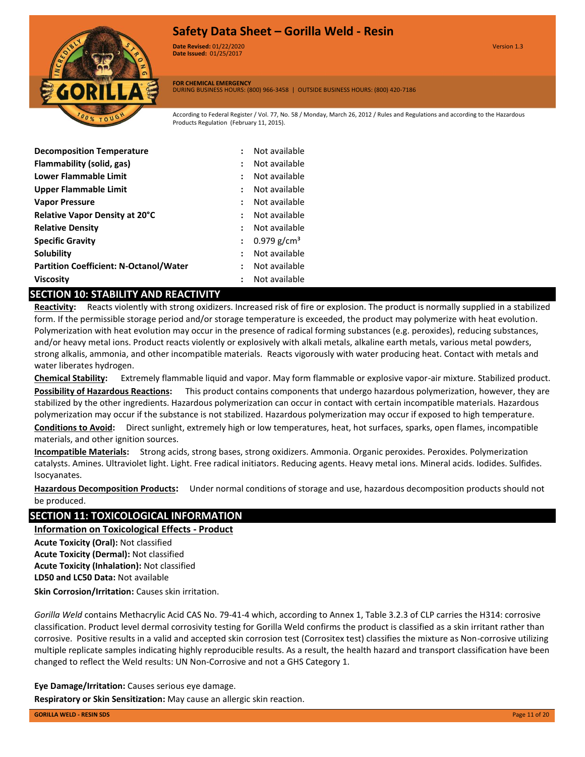

**Date Revised:** 01/22/2020 Version 1.3 **Version 1.0 Date Issued:** 01/25/2017

**FOR CHEMICAL EMERGENCY**

DURING BUSINESS HOURS: (800) 966-3458 | OUTSIDE BUSINESS HOURS: (800) 420-7186

According to Federal Register / Vol. 77, No. 58 / Monday, March 26, 2012 / Rules and Regulations and according to the Hazardous Products Regulation (February 11, 2015).

| <b>Decomposition Temperature</b>              | $\ddot{\phantom{a}}$ | Not available           |
|-----------------------------------------------|----------------------|-------------------------|
| Flammability (solid, gas)                     | ÷                    | Not available           |
| <b>Lower Flammable Limit</b>                  | ÷                    | Not available           |
| Upper Flammable Limit                         | $\ddot{\phantom{a}}$ | Not available           |
| <b>Vapor Pressure</b>                         | $\ddot{\phantom{a}}$ | Not available           |
| Relative Vapor Density at 20°C                | $\ddot{\phantom{a}}$ | Not available           |
| <b>Relative Density</b>                       | $\ddot{\phantom{a}}$ | Not available           |
| <b>Specific Gravity</b>                       | $\ddot{\phantom{a}}$ | 0.979 g/cm <sup>3</sup> |
| Solubility                                    | $\ddot{\phantom{a}}$ | Not available           |
| <b>Partition Coefficient: N-Octanol/Water</b> | ÷                    | Not available           |
| <b>Viscosity</b>                              |                      | Not available           |

# **SECTION 10: STABILITY AND REACTIVITY**

**Reactivity:** Reacts violently with strong oxidizers. Increased risk of fire or explosion. The product is normally supplied in a stabilized form. If the permissible storage period and/or storage temperature is exceeded, the product may polymerize with heat evolution. Polymerization with heat evolution may occur in the presence of radical forming substances (e.g. peroxides), reducing substances, and/or heavy metal ions. Product reacts violently or explosively with alkali metals, alkaline earth metals, various metal powders, strong alkalis, ammonia, and other incompatible materials. Reacts vigorously with water producing heat. Contact with metals and water liberates hydrogen.

**Chemical Stability:** Extremely flammable liquid and vapor. May form flammable or explosive vapor-air mixture. Stabilized product. **Possibility of Hazardous Reactions:** This product contains components that undergo hazardous polymerization, however, they are stabilized by the other ingredients. Hazardous polymerization can occur in contact with certain incompatible materials. Hazardous polymerization may occur if the substance is not stabilized. Hazardous polymerization may occur if exposed to high temperature. **Conditions to Avoid:** Direct sunlight, extremely high or low temperatures, heat, hot surfaces, sparks, open flames, incompatible materials, and other ignition sources.

**Incompatible Materials:** Strong acids, strong bases, strong oxidizers. Ammonia. Organic peroxides. Peroxides. Polymerization catalysts. Amines. Ultraviolet light. Light. Free radical initiators. Reducing agents. Heavy metal ions. Mineral acids. Iodides. Sulfides. Isocyanates.

**Hazardous Decomposition Products:** Under normal conditions of storage and use, hazardous decomposition products should not be produced.

# **SECTION 11: TOXICOLOGICAL INFORMATION**

**Information on Toxicological Effects - Product**

**LD50 and LC50 Data:** Not available **Acute Toxicity (Oral):** Not classified **Acute Toxicity (Dermal):** Not classified **Acute Toxicity (Inhalation):** Not classified

**Skin Corrosion/Irritation:** Causes skin irritation.

*Gorilla Weld* contains Methacrylic Acid CAS No. 79-41-4 which, according to Annex 1, Table 3.2.3 of CLP carries the H314: corrosive classification. Product level dermal corrosivity testing for Gorilla Weld confirms the product is classified as a skin irritant rather than corrosive. Positive results in a valid and accepted skin corrosion test (Corrositex test) classifies the mixture as Non-corrosive utilizing multiple replicate samples indicating highly reproducible results. As a result, the health hazard and transport classification have been changed to reflect the Weld results: UN Non-Corrosive and not a GHS Category 1.

**Eye Damage/Irritation:** Causes serious eye damage. **Respiratory or Skin Sensitization:** May cause an allergic skin reaction.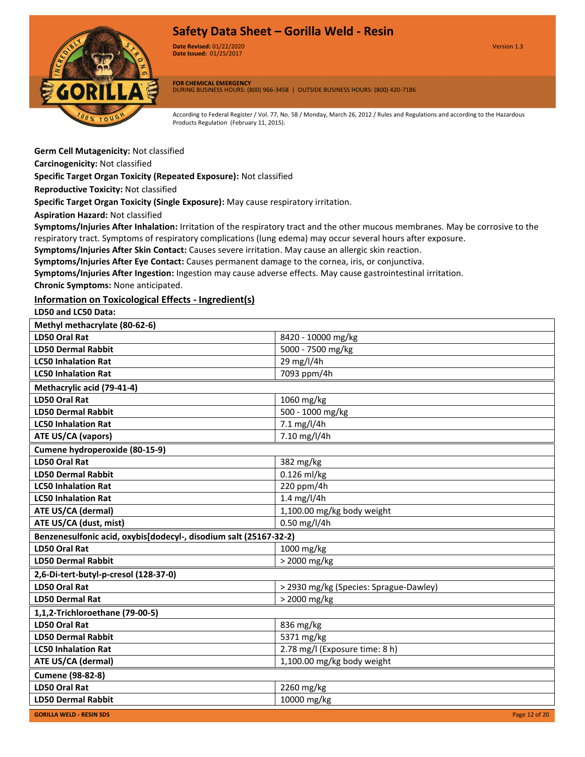

**Date Revised:** 01/22/2020 Version 1.3 **Version 1.0 Date Issued:** 01/25/2017

**FOR CHEMICAL EMERGENCY** DURING BUSINESS HOURS: (800) 966-3458 | OUTSIDE BUSINESS HOURS: (800) 420-7186

According to Federal Register / Vol. 77, No. 58 / Monday, March 26, 2012 / Rules and Regulations and according to the Hazardous Products Regulation (February 11, 2015).

**Germ Cell Mutagenicity:** Not classified

**Carcinogenicity:** Not classified

**Specific Target Organ Toxicity (Repeated Exposure):** Not classified

**Reproductive Toxicity:** Not classified

**Specific Target Organ Toxicity (Single Exposure):** May cause respiratory irritation.

**Aspiration Hazard:** Not classified

**Symptoms/Injuries After Inhalation:** Irritation of the respiratory tract and the other mucous membranes. May be corrosive to the respiratory tract. Symptoms of respiratory complications (lung edema) may occur several hours after exposure.

**Symptoms/Injuries After Skin Contact:** Causes severe irritation. May cause an allergic skin reaction.

**Symptoms/Injuries After Eye Contact:** Causes permanent damage to the cornea, iris, or conjunctiva.

**Symptoms/Injuries After Ingestion:** Ingestion may cause adverse effects. May cause gastrointestinal irritation. **Chronic Symptoms:** None anticipated.

# **Information on Toxicological Effects - Ingredient(s)**

**LD50 and LC50 Data:**

| Methyl methacrylate (80-62-6)                                     |                                        |
|-------------------------------------------------------------------|----------------------------------------|
| <b>LD50 Oral Rat</b>                                              | 8420 - 10000 mg/kg                     |
| <b>LD50 Dermal Rabbit</b>                                         | 5000 - 7500 mg/kg                      |
| <b>LC50 Inhalation Rat</b>                                        | 29 mg/l/4h                             |
| <b>LC50 Inhalation Rat</b>                                        | 7093 ppm/4h                            |
| Methacrylic acid (79-41-4)                                        |                                        |
| <b>LD50 Oral Rat</b>                                              | 1060 mg/kg                             |
| <b>LD50 Dermal Rabbit</b>                                         | 500 - 1000 mg/kg                       |
| <b>LC50 Inhalation Rat</b>                                        | 7.1 mg/l/4h                            |
| <b>ATE US/CA (vapors)</b>                                         | 7.10 mg/l/4h                           |
| Cumene hydroperoxide (80-15-9)                                    |                                        |
| <b>LD50 Oral Rat</b>                                              | 382 mg/kg                              |
| <b>LD50 Dermal Rabbit</b>                                         | 0.126 ml/kg                            |
| <b>LC50 Inhalation Rat</b>                                        | 220 ppm/4h                             |
| <b>LC50 Inhalation Rat</b>                                        | 1.4 $mg/l/4h$                          |
| ATE US/CA (dermal)                                                | 1,100.00 mg/kg body weight             |
| ATE US/CA (dust, mist)                                            | 0.50 mg/l/4h                           |
| Benzenesulfonic acid, oxybis[dodecyl-, disodium salt (25167-32-2) |                                        |
| <b>LD50 Oral Rat</b>                                              | 1000 mg/kg                             |
| <b>LD50 Dermal Rabbit</b>                                         | > 2000 mg/kg                           |
| 2,6-Di-tert-butyl-p-cresol (128-37-0)                             |                                        |
| <b>LD50 Oral Rat</b>                                              | > 2930 mg/kg (Species: Sprague-Dawley) |
| <b>LD50 Dermal Rat</b>                                            | > 2000 mg/kg                           |
| 1,1,2-Trichloroethane (79-00-5)                                   |                                        |
| LD50 Oral Rat                                                     | 836 mg/kg                              |
| <b>LD50 Dermal Rabbit</b>                                         | 5371 mg/kg                             |
| <b>LC50 Inhalation Rat</b>                                        | 2.78 mg/l (Exposure time: 8 h)         |
| ATE US/CA (dermal)                                                | 1,100.00 mg/kg body weight             |
| <b>Cumene (98-82-8)</b>                                           |                                        |
| <b>LD50 Oral Rat</b>                                              | 2260 mg/kg                             |
| <b>LD50 Dermal Rabbit</b>                                         | 10000 mg/kg                            |
| <b>GORILLA WELD - RESIN SDS</b>                                   | Page 12 of 20                          |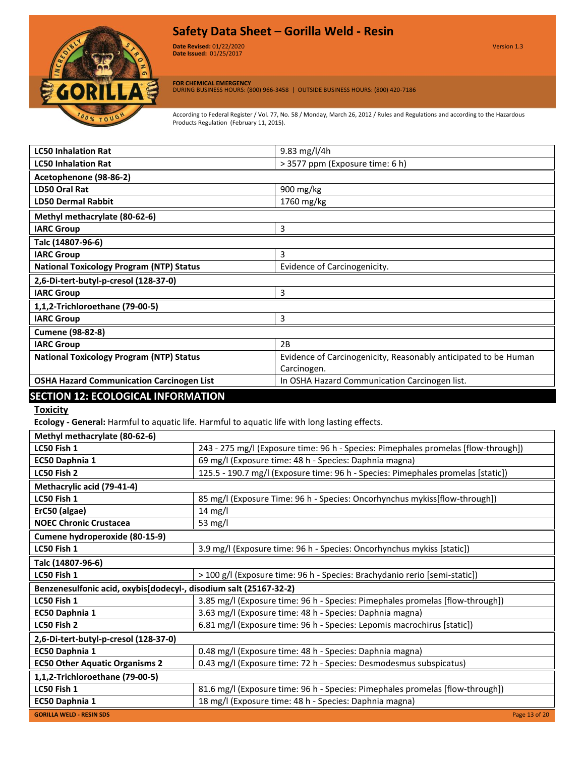

**Date Revised:** 01/22/2020 Version 1.3 **Version 1.0 Date Issued:** 01/25/2017

**FOR CHEMICAL EMERGENCY** DURING BUSINESS HOURS: (800) 966-3458 | OUTSIDE BUSINESS HOURS: (800) 420-7186

According to Federal Register / Vol. 77, No. 58 / Monday, March 26, 2012 / Rules and Regulations and according to the Hazardous Products Regulation (February 11, 2015).

| <b>LC50 Inhalation Rat</b>                       | 9.83 mg/l/4h                                                    |
|--------------------------------------------------|-----------------------------------------------------------------|
| <b>LC50 Inhalation Rat</b>                       | > 3577 ppm (Exposure time: 6 h)                                 |
| Acetophenone (98-86-2)                           |                                                                 |
| LD50 Oral Rat                                    | 900 mg/kg                                                       |
| <b>LD50 Dermal Rabbit</b>                        | 1760 mg/kg                                                      |
| Methyl methacrylate (80-62-6)                    |                                                                 |
| <b>IARC Group</b>                                | 3                                                               |
| Talc (14807-96-6)                                |                                                                 |
| <b>IARC Group</b>                                | 3                                                               |
| <b>National Toxicology Program (NTP) Status</b>  | Evidence of Carcinogenicity.                                    |
| 2,6-Di-tert-butyl-p-cresol (128-37-0)            |                                                                 |
| <b>IARC Group</b>                                | 3                                                               |
| 1,1,2-Trichloroethane (79-00-5)                  |                                                                 |
| <b>IARC Group</b>                                | 3                                                               |
| <b>Cumene (98-82-8)</b>                          |                                                                 |
| <b>IARC Group</b>                                | 2B                                                              |
| <b>National Toxicology Program (NTP) Status</b>  | Evidence of Carcinogenicity, Reasonably anticipated to be Human |
|                                                  | Carcinogen.                                                     |
| <b>OSHA Hazard Communication Carcinogen List</b> | In OSHA Hazard Communication Carcinogen list.                   |
| <b>SECTION 12: ECOLOGICAL INFORMATION</b>        |                                                                 |

# **Toxicity**

**Ecology - General:** Harmful to aquatic life. Harmful to aquatic life with long lasting effects.

| Methyl methacrylate (80-62-6)                                     |                                                                                    |  |
|-------------------------------------------------------------------|------------------------------------------------------------------------------------|--|
| LC50 Fish 1                                                       | 243 - 275 mg/l (Exposure time: 96 h - Species: Pimephales promelas [flow-through]) |  |
| EC50 Daphnia 1                                                    | 69 mg/l (Exposure time: 48 h - Species: Daphnia magna)                             |  |
| LC50 Fish 2                                                       | 125.5 - 190.7 mg/l (Exposure time: 96 h - Species: Pimephales promelas [static])   |  |
| Methacrylic acid (79-41-4)                                        |                                                                                    |  |
| LC50 Fish 1                                                       | 85 mg/l (Exposure Time: 96 h - Species: Oncorhynchus mykiss[flow-through])         |  |
| ErC50 (algae)                                                     | 14 mg/l                                                                            |  |
| <b>NOEC Chronic Crustacea</b>                                     | 53 mg/l                                                                            |  |
| Cumene hydroperoxide (80-15-9)                                    |                                                                                    |  |
| LC50 Fish 1                                                       | 3.9 mg/l (Exposure time: 96 h - Species: Oncorhynchus mykiss [static])             |  |
| Talc (14807-96-6)                                                 |                                                                                    |  |
| LC50 Fish 1                                                       | > 100 g/l (Exposure time: 96 h - Species: Brachydanio rerio [semi-static])         |  |
| Benzenesulfonic acid, oxybis[dodecyl-, disodium salt (25167-32-2) |                                                                                    |  |
| LC50 Fish 1                                                       | 3.85 mg/l (Exposure time: 96 h - Species: Pimephales promelas [flow-through])      |  |
| EC50 Daphnia 1                                                    | 3.63 mg/l (Exposure time: 48 h - Species: Daphnia magna)                           |  |
| LC50 Fish 2                                                       | 6.81 mg/l (Exposure time: 96 h - Species: Lepomis macrochirus [static])            |  |
| 2,6-Di-tert-butyl-p-cresol (128-37-0)                             |                                                                                    |  |
| EC50 Daphnia 1                                                    | 0.48 mg/l (Exposure time: 48 h - Species: Daphnia magna)                           |  |
| <b>EC50 Other Aquatic Organisms 2</b>                             | 0.43 mg/l (Exposure time: 72 h - Species: Desmodesmus subspicatus)                 |  |
| 1,1,2-Trichloroethane (79-00-5)                                   |                                                                                    |  |
| LC50 Fish 1                                                       | 81.6 mg/l (Exposure time: 96 h - Species: Pimephales promelas [flow-through])      |  |
| EC50 Daphnia 1                                                    | 18 mg/l (Exposure time: 48 h - Species: Daphnia magna)                             |  |
| <b>GORILLA WELD - RESIN SDS</b>                                   | Page 13 of 20                                                                      |  |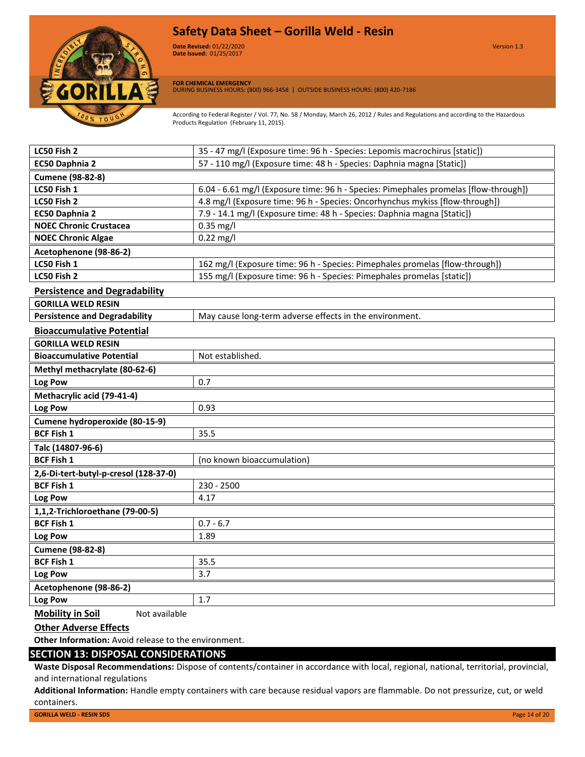

**Date Revised:** 01/22/2020 Version 1.3 **Version 1.0 Date Issued:** 01/25/2017

**FOR CHEMICAL EMERGENCY** DURING BUSINESS HOURS: (800) 966-3458 | OUTSIDE BUSINESS HOURS: (800) 420-7186

According to Federal Register / Vol. 77, No. 58 / Monday, March 26, 2012 / Rules and Regulations and according to the Hazardous Products Regulation (February 11, 2015).

| LC50 Fish 2                                     | 35 - 47 mg/l (Exposure time: 96 h - Species: Lepomis macrochirus [static])           |  |
|-------------------------------------------------|--------------------------------------------------------------------------------------|--|
| EC50 Daphnia 2                                  | 57 - 110 mg/l (Exposure time: 48 h - Species: Daphnia magna [Static])                |  |
| <b>Cumene (98-82-8)</b>                         |                                                                                      |  |
| LC50 Fish 1                                     | 6.04 - 6.61 mg/l (Exposure time: 96 h - Species: Pimephales promelas [flow-through]) |  |
| LC50 Fish 2                                     | 4.8 mg/l (Exposure time: 96 h - Species: Oncorhynchus mykiss [flow-through])         |  |
| EC50 Daphnia 2                                  | 7.9 - 14.1 mg/l (Exposure time: 48 h - Species: Daphnia magna [Static])              |  |
| <b>NOEC Chronic Crustacea</b>                   | $0.35$ mg/l                                                                          |  |
| <b>NOEC Chronic Algae</b>                       | $0.22$ mg/l                                                                          |  |
| Acetophenone (98-86-2)                          |                                                                                      |  |
| LC50 Fish 1                                     | 162 mg/l (Exposure time: 96 h - Species: Pimephales promelas [flow-through])         |  |
| LC50 Fish 2                                     | 155 mg/l (Exposure time: 96 h - Species: Pimephales promelas [static])               |  |
| <b>Persistence and Degradability</b>            |                                                                                      |  |
| <b>GORILLA WELD RESIN</b>                       |                                                                                      |  |
| <b>Persistence and Degradability</b>            | May cause long-term adverse effects in the environment.                              |  |
| <b>Bioaccumulative Potential</b>                |                                                                                      |  |
| <b>GORILLA WELD RESIN</b>                       |                                                                                      |  |
| <b>Bioaccumulative Potential</b>                | Not established.                                                                     |  |
| Methyl methacrylate (80-62-6)                   |                                                                                      |  |
| Log Pow                                         | 0.7                                                                                  |  |
| Methacrylic acid (79-41-4)                      |                                                                                      |  |
| Log Pow                                         | 0.93                                                                                 |  |
| Cumene hydroperoxide (80-15-9)                  |                                                                                      |  |
| <b>BCF Fish 1</b>                               | 35.5                                                                                 |  |
| Talc (14807-96-6)                               |                                                                                      |  |
| <b>BCF Fish 1</b><br>(no known bioaccumulation) |                                                                                      |  |
| 2,6-Di-tert-butyl-p-cresol (128-37-0)           |                                                                                      |  |
| <b>BCF Fish 1</b>                               | 230 - 2500                                                                           |  |
| Log Pow                                         | 4.17                                                                                 |  |
| 1,1,2-Trichloroethane (79-00-5)                 |                                                                                      |  |
| <b>BCF Fish 1</b>                               | $0.7 - 6.7$                                                                          |  |
| Log Pow                                         | 1.89                                                                                 |  |
| <b>Cumene (98-82-8)</b>                         |                                                                                      |  |
| <b>BCF Fish 1</b>                               | 35.5                                                                                 |  |
| Log Pow                                         | 3.7                                                                                  |  |
| Acetophenone (98-86-2)                          |                                                                                      |  |
| Log Pow                                         | 1.7                                                                                  |  |
|                                                 |                                                                                      |  |

**Mobility in Soil** Not available

#### **Other Adverse Effects**

**Other Information:** Avoid release to the environment.

# **SECTION 13: DISPOSAL CONSIDERATIONS**

**Waste Disposal Recommendations:** Dispose of contents/container in accordance with local, regional, national, territorial, provincial, and international regulations

**Additional Information:** Handle empty containers with care because residual vapors are flammable. Do not pressurize, cut, or weld containers.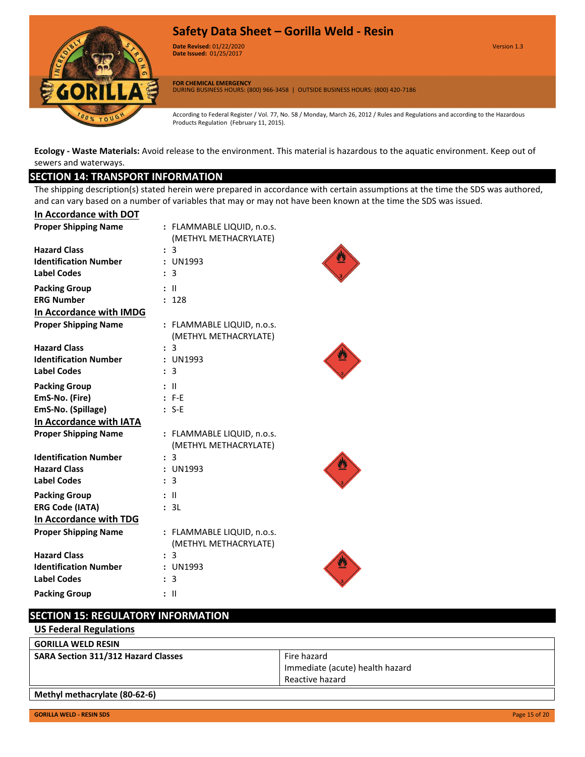

**Date Revised:** 01/22/2020 Version 1.3 **Version 1.0 Date Issued:** 01/25/2017

**FOR CHEMICAL EMERGENCY** DURING BUSINESS HOURS: (800) 966-3458 | OUTSIDE BUSINESS HOURS: (800) 420-7186

According to Federal Register / Vol. 77, No. 58 / Monday, March 26, 2012 / Rules and Regulations and according to the Hazardous Products Regulation (February 11, 2015).

**Ecology - Waste Materials:** Avoid release to the environment. This material is hazardous to the aquatic environment. Keep out of sewers and waterways.

# **SECTION 14: TRANSPORT INFORMATION**

The shipping description(s) stated herein were prepared in accordance with certain assumptions at the time the SDS was authored, and can vary based on a number of variables that may or may not have been known at the time the SDS was issued.

| In Accordance with DOT       |                |                            |
|------------------------------|----------------|----------------------------|
| <b>Proper Shipping Name</b>  |                | : FLAMMABLE LIQUID, n.o.s. |
|                              |                | (METHYL METHACRYLATE)      |
| <b>Hazard Class</b>          |                | : 3                        |
| <b>Identification Number</b> |                | : UN1993                   |
| <b>Label Codes</b>           |                | 3                          |
| <b>Packing Group</b>         |                | Ш                          |
| <b>ERG Number</b>            |                | : 128                      |
| In Accordance with IMDG      |                |                            |
| <b>Proper Shipping Name</b>  |                | : FLAMMABLE LIQUID, n.o.s. |
|                              |                | (METHYL METHACRYLATE)      |
| <b>Hazard Class</b>          |                | : 3                        |
| <b>Identification Number</b> |                | : UN1993                   |
| <b>Label Codes</b>           | ÷              | -3                         |
| <b>Packing Group</b>         |                | - 11                       |
| EmS-No. (Fire)               |                | $E$ F-F                    |
| EmS-No. (Spillage)           |                | $: S-E$                    |
| In Accordance with IATA      |                |                            |
| <b>Proper Shipping Name</b>  |                | : FLAMMABLE LIQUID, n.o.s. |
|                              |                | (METHYL METHACRYLATE)      |
| <b>Identification Number</b> |                | : 3                        |
| <b>Hazard Class</b>          |                | : UN1993                   |
| <b>Label Codes</b>           | ÷              | 3                          |
| <b>Packing Group</b>         |                | - 11                       |
| <b>ERG Code (IATA)</b>       |                | : 3L                       |
| In Accordance with TDG       |                |                            |
| <b>Proper Shipping Name</b>  |                | : FLAMMABLE LIQUID, n.o.s. |
|                              |                | (METHYL METHACRYLATE)      |
| <b>Hazard Class</b>          |                | : 3                        |
| <b>Identification Number</b> |                | : UN1993                   |
| <b>Label Codes</b>           | $\ddot{\cdot}$ | 3                          |
| <b>Packing Group</b>         |                | Ш                          |

# **SECTION 15: REGULATORY INFORMATION**

**US Federal Regulations**

| <b>GORILLA WELD RESIN</b>                  |                                 |
|--------------------------------------------|---------------------------------|
| <b>SARA Section 311/312 Hazard Classes</b> | Fire hazard                     |
|                                            | Immediate (acute) health hazard |
|                                            | Reactive hazard                 |
| Methyl methacrylate (80-62-6)              |                                 |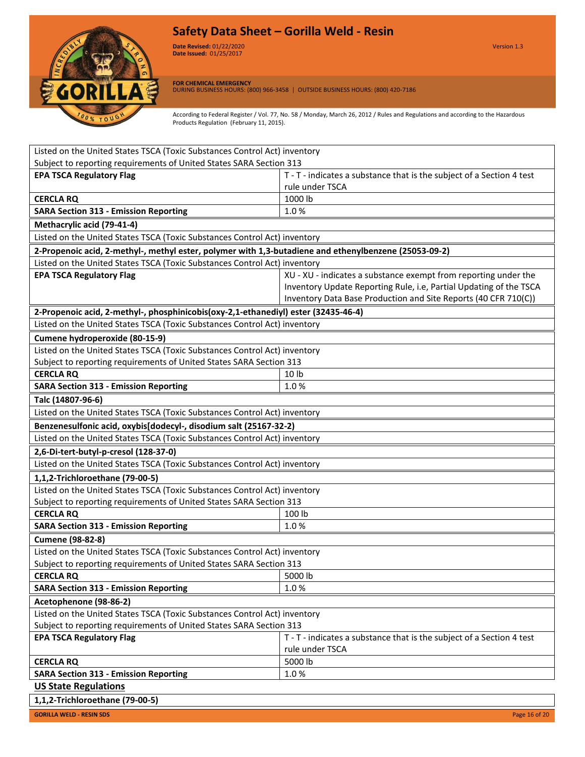

**Date Revised:** 01/22/2020 Version 1.3 **Version 1.0 Date Issued:** 01/25/2017

**FOR CHEMICAL EMERGENCY** DURING BUSINESS HOURS: (800) 966-3458 | OUTSIDE BUSINESS HOURS: (800) 420-7186

According to Federal Register / Vol. 77, No. 58 / Monday, March 26, 2012 / Rules and Regulations and according to the Hazardous Products Regulation (February 11, 2015).

| Listed on the United States TSCA (Toxic Substances Control Act) inventory                             |                                                                       |  |
|-------------------------------------------------------------------------------------------------------|-----------------------------------------------------------------------|--|
| Subject to reporting requirements of United States SARA Section 313                                   |                                                                       |  |
| <b>EPA TSCA Regulatory Flag</b>                                                                       | T - T - indicates a substance that is the subject of a Section 4 test |  |
|                                                                                                       | rule under TSCA                                                       |  |
| <b>CERCLA RQ</b>                                                                                      | 1000 lb                                                               |  |
| <b>SARA Section 313 - Emission Reporting</b>                                                          | 1.0%                                                                  |  |
| Methacrylic acid (79-41-4)                                                                            |                                                                       |  |
| Listed on the United States TSCA (Toxic Substances Control Act) inventory                             |                                                                       |  |
| 2-Propenoic acid, 2-methyl-, methyl ester, polymer with 1,3-butadiene and ethenylbenzene (25053-09-2) |                                                                       |  |
| Listed on the United States TSCA (Toxic Substances Control Act) inventory                             |                                                                       |  |
| <b>EPA TSCA Regulatory Flag</b>                                                                       | XU - XU - indicates a substance exempt from reporting under the       |  |
|                                                                                                       | Inventory Update Reporting Rule, i.e, Partial Updating of the TSCA    |  |
|                                                                                                       | Inventory Data Base Production and Site Reports (40 CFR 710(C))       |  |
| 2-Propenoic acid, 2-methyl-, phosphinicobis(oxy-2,1-ethanediyl) ester (32435-46-4)                    |                                                                       |  |
| Listed on the United States TSCA (Toxic Substances Control Act) inventory                             |                                                                       |  |
| Cumene hydroperoxide (80-15-9)                                                                        |                                                                       |  |
| Listed on the United States TSCA (Toxic Substances Control Act) inventory                             |                                                                       |  |
| Subject to reporting requirements of United States SARA Section 313                                   |                                                                       |  |
| <b>CERCLA RQ</b>                                                                                      | 10 lb                                                                 |  |
| <b>SARA Section 313 - Emission Reporting</b>                                                          | 1.0%                                                                  |  |
| Talc (14807-96-6)                                                                                     |                                                                       |  |
| Listed on the United States TSCA (Toxic Substances Control Act) inventory                             |                                                                       |  |
| Benzenesulfonic acid, oxybis[dodecyl-, disodium salt (25167-32-2)                                     |                                                                       |  |
| Listed on the United States TSCA (Toxic Substances Control Act) inventory                             |                                                                       |  |
| 2,6-Di-tert-butyl-p-cresol (128-37-0)                                                                 |                                                                       |  |
| Listed on the United States TSCA (Toxic Substances Control Act) inventory                             |                                                                       |  |
| 1,1,2-Trichloroethane (79-00-5)                                                                       |                                                                       |  |
| Listed on the United States TSCA (Toxic Substances Control Act) inventory                             |                                                                       |  |
| Subject to reporting requirements of United States SARA Section 313                                   |                                                                       |  |
| <b>CERCLA RQ</b>                                                                                      | 100 lb                                                                |  |
| <b>SARA Section 313 - Emission Reporting</b>                                                          | 1.0%                                                                  |  |
| <b>Cumene (98-82-8)</b>                                                                               |                                                                       |  |
| Listed on the United States TSCA (Toxic Substances Control Act) inventory                             |                                                                       |  |
| Subject to reporting requirements of United States SARA Section 313                                   |                                                                       |  |
| <b>CERCLA RQ</b>                                                                                      | $\sqrt{5000}$ lb                                                      |  |
| <b>SARA Section 313 - Emission Reporting</b>                                                          | 1.0%                                                                  |  |
| Acetophenone (98-86-2)                                                                                |                                                                       |  |
| Listed on the United States TSCA (Toxic Substances Control Act) inventory                             |                                                                       |  |
| Subject to reporting requirements of United States SARA Section 313                                   |                                                                       |  |
| <b>EPA TSCA Regulatory Flag</b>                                                                       | T - T - indicates a substance that is the subject of a Section 4 test |  |
|                                                                                                       | rule under TSCA                                                       |  |
| <b>CERCLA RQ</b>                                                                                      | 5000 lb                                                               |  |
| <b>SARA Section 313 - Emission Reporting</b>                                                          | 1.0%                                                                  |  |
| <b>US State Regulations</b>                                                                           |                                                                       |  |
| 1,1,2-Trichloroethane (79-00-5)                                                                       |                                                                       |  |

**GORILLA WELD - RESIN SDS** Page 16 of 20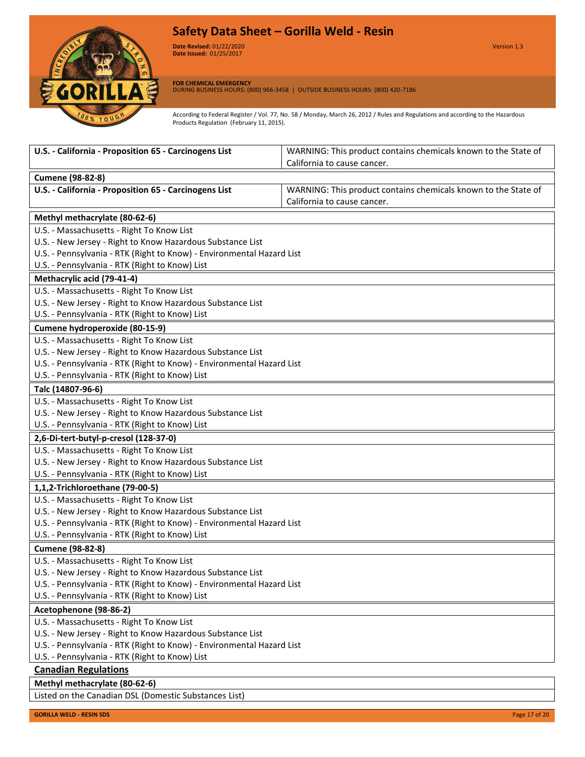

**Date Revised:** 01/22/2020 Version 1.3 **Version 1.0 Date Issued:** 01/25/2017

**FOR CHEMICAL EMERGENCY** DURING BUSINESS HOURS: (800) 966-3458 | OUTSIDE BUSINESS HOURS: (800) 420-7186

According to Federal Register / Vol. 77, No. 58 / Monday, March 26, 2012 / Rules and Regulations and according to the Hazardous Products Regulation (February 11, 2015).

| U.S. - California - Proposition 65 - Carcinogens List                                                                               | WARNING: This product contains chemicals known to the State of |  |
|-------------------------------------------------------------------------------------------------------------------------------------|----------------------------------------------------------------|--|
|                                                                                                                                     | California to cause cancer.                                    |  |
| <b>Cumene (98-82-8)</b>                                                                                                             |                                                                |  |
| U.S. - California - Proposition 65 - Carcinogens List                                                                               | WARNING: This product contains chemicals known to the State of |  |
|                                                                                                                                     | California to cause cancer.                                    |  |
| Methyl methacrylate (80-62-6)                                                                                                       |                                                                |  |
| U.S. - Massachusetts - Right To Know List                                                                                           |                                                                |  |
| U.S. - New Jersey - Right to Know Hazardous Substance List                                                                          |                                                                |  |
| U.S. - Pennsylvania - RTK (Right to Know) - Environmental Hazard List                                                               |                                                                |  |
| U.S. - Pennsylvania - RTK (Right to Know) List                                                                                      |                                                                |  |
| Methacrylic acid (79-41-4)                                                                                                          |                                                                |  |
| U.S. - Massachusetts - Right To Know List                                                                                           |                                                                |  |
| U.S. - New Jersey - Right to Know Hazardous Substance List                                                                          |                                                                |  |
| U.S. - Pennsylvania - RTK (Right to Know) List                                                                                      |                                                                |  |
| Cumene hydroperoxide (80-15-9)                                                                                                      |                                                                |  |
| U.S. - Massachusetts - Right To Know List                                                                                           |                                                                |  |
| U.S. - New Jersey - Right to Know Hazardous Substance List                                                                          |                                                                |  |
| U.S. - Pennsylvania - RTK (Right to Know) - Environmental Hazard List                                                               |                                                                |  |
| U.S. - Pennsylvania - RTK (Right to Know) List                                                                                      |                                                                |  |
| Talc (14807-96-6)                                                                                                                   |                                                                |  |
| U.S. - Massachusetts - Right To Know List                                                                                           |                                                                |  |
| U.S. - New Jersey - Right to Know Hazardous Substance List                                                                          |                                                                |  |
| U.S. - Pennsylvania - RTK (Right to Know) List                                                                                      |                                                                |  |
| 2,6-Di-tert-butyl-p-cresol (128-37-0)                                                                                               |                                                                |  |
| U.S. - Massachusetts - Right To Know List                                                                                           |                                                                |  |
| U.S. - New Jersey - Right to Know Hazardous Substance List                                                                          |                                                                |  |
| U.S. - Pennsylvania - RTK (Right to Know) List                                                                                      |                                                                |  |
| 1,1,2-Trichloroethane (79-00-5)                                                                                                     |                                                                |  |
| U.S. - Massachusetts - Right To Know List                                                                                           |                                                                |  |
| U.S. - New Jersey - Right to Know Hazardous Substance List                                                                          |                                                                |  |
| U.S. - Pennsylvania - RTK (Right to Know) - Environmental Hazard List                                                               |                                                                |  |
| U.S. - Pennsylvania - RTK (Right to Know) List                                                                                      |                                                                |  |
| <b>Cumene (98-82-8)</b>                                                                                                             |                                                                |  |
| U.S. - Massachusetts - Right To Know List                                                                                           |                                                                |  |
| U.S. - New Jersey - Right to Know Hazardous Substance List                                                                          |                                                                |  |
| U.S. - Pennsylvania - RTK (Right to Know) - Environmental Hazard List                                                               |                                                                |  |
| U.S. - Pennsylvania - RTK (Right to Know) List                                                                                      |                                                                |  |
| Acetophenone (98-86-2)                                                                                                              |                                                                |  |
| U.S. - Massachusetts - Right To Know List                                                                                           |                                                                |  |
| U.S. - New Jersey - Right to Know Hazardous Substance List<br>U.S. - Pennsylvania - RTK (Right to Know) - Environmental Hazard List |                                                                |  |
| U.S. - Pennsylvania - RTK (Right to Know) List                                                                                      |                                                                |  |
| <b>Canadian Regulations</b>                                                                                                         |                                                                |  |
|                                                                                                                                     |                                                                |  |
| Methyl methacrylate (80-62-6)                                                                                                       |                                                                |  |

Listed on the Canadian DSL (Domestic Substances List)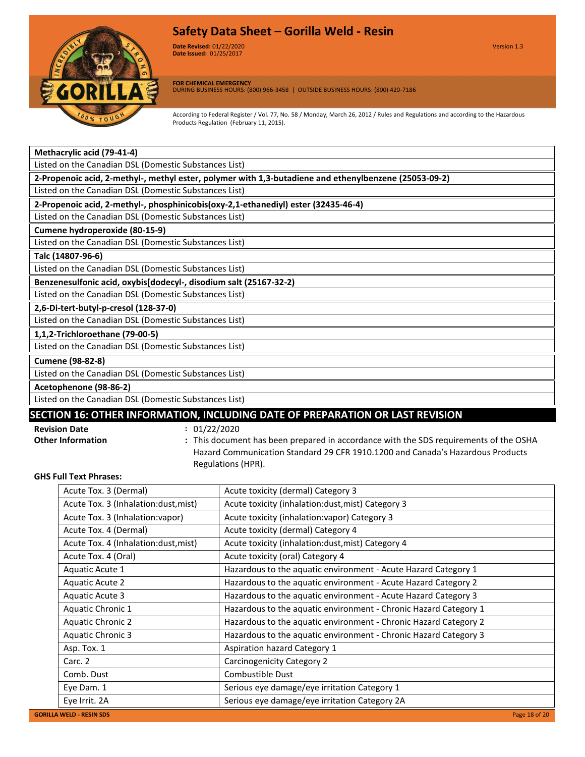

**Date Revised:** 01/22/2020 Version 1.3 **Version 1.0 Date Issued:** 01/25/2017

**FOR CHEMICAL EMERGENCY**

DURING BUSINESS HOURS: (800) 966-3458 | OUTSIDE BUSINESS HOURS: (800) 420-7186

According to Federal Register / Vol. 77, No. 58 / Monday, March 26, 2012 / Rules and Regulations and according to the Hazardous Products Regulation (February 11, 2015).

| Methacrylic acid (79-41-4)                            |  |
|-------------------------------------------------------|--|
| Listed on the Canadian DSL (Domestic Substances List) |  |

**2-Propenoic acid, 2-methyl-, methyl ester, polymer with 1,3-butadiene and ethenylbenzene (25053-09-2)**

Listed on the Canadian DSL (Domestic Substances List)

# **2-Propenoic acid, 2-methyl-, phosphinicobis(oxy-2,1-ethanediyl) ester (32435-46-4)**

Listed on the Canadian DSL (Domestic Substances List) **Cumene hydroperoxide (80-15-9)**

Listed on the Canadian DSL (Domestic Substances List)

#### **Talc (14807-96-6)**

Listed on the Canadian DSL (Domestic Substances List)

**Benzenesulfonic acid, oxybis[dodecyl-, disodium salt (25167-32-2)**

Listed on the Canadian DSL (Domestic Substances List)

**2,6-Di-tert-butyl-p-cresol (128-37-0)**

Listed on the Canadian DSL (Domestic Substances List)

**1,1,2-Trichloroethane (79-00-5)**

Listed on the Canadian DSL (Domestic Substances List)

**Cumene (98-82-8)**

Listed on the Canadian DSL (Domestic Substances List)

**Acetophenone (98-86-2)**

Listed on the Canadian DSL (Domestic Substances List)

# **SECTION 16: OTHER INFORMATION, INCLUDING DATE OF PREPARATION OR LAST REVISION**

**Revision Date :** 01/22/2020

- 
- **Other Information :** This document has been prepared in accordance with the SDS requirements of the OSHA Hazard Communication Standard 29 CFR 1910.1200 and Canada's Hazardous Products Regulations (HPR).

# **GHS Full Text Phrases:**

| Acute Tox. 3 (Dermal)                | Acute toxicity (dermal) Category 3                               |
|--------------------------------------|------------------------------------------------------------------|
| Acute Tox. 3 (Inhalation:dust, mist) | Acute toxicity (inhalation:dust, mist) Category 3                |
| Acute Tox. 3 (Inhalation: vapor)     | Acute toxicity (inhalation: vapor) Category 3                    |
| Acute Tox. 4 (Dermal)                | Acute toxicity (dermal) Category 4                               |
| Acute Tox. 4 (Inhalation:dust, mist) | Acute toxicity (inhalation:dust, mist) Category 4                |
| Acute Tox. 4 (Oral)                  | Acute toxicity (oral) Category 4                                 |
| Aquatic Acute 1                      | Hazardous to the aquatic environment - Acute Hazard Category 1   |
| <b>Aquatic Acute 2</b>               | Hazardous to the aquatic environment - Acute Hazard Category 2   |
| Aquatic Acute 3                      | Hazardous to the aquatic environment - Acute Hazard Category 3   |
| Aquatic Chronic 1                    | Hazardous to the aquatic environment - Chronic Hazard Category 1 |
| <b>Aquatic Chronic 2</b>             | Hazardous to the aquatic environment - Chronic Hazard Category 2 |
| <b>Aquatic Chronic 3</b>             | Hazardous to the aquatic environment - Chronic Hazard Category 3 |
| Asp. Tox. 1                          | Aspiration hazard Category 1                                     |
| Carc. 2                              | Carcinogenicity Category 2                                       |
| Comb. Dust                           | Combustible Dust                                                 |
| Eye Dam. 1                           | Serious eye damage/eye irritation Category 1                     |
| Eye Irrit. 2A                        | Serious eye damage/eye irritation Category 2A                    |
|                                      |                                                                  |

**GORILLA WELD - RES**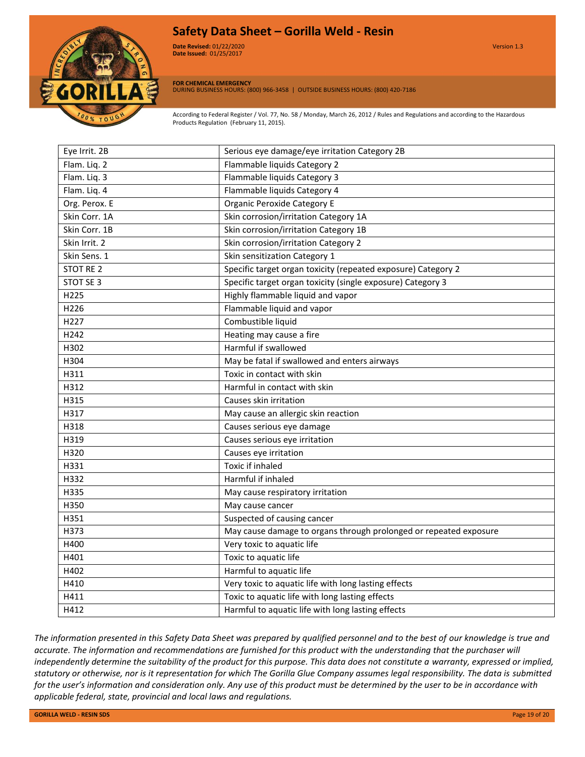

**Date Revised:** 01/22/2020 Version 1.3 **Version 1.0 Date Issued:** 01/25/2017

**FOR CHEMICAL EMERGENCY** DURING BUSINESS HOURS: (800) 966-3458 | OUTSIDE BUSINESS HOURS: (800) 420-7186

According to Federal Register / Vol. 77, No. 58 / Monday, March 26, 2012 / Rules and Regulations and according to the Hazardous Products Regulation (February 11, 2015).

| Eye Irrit. 2B    | Serious eye damage/eye irritation Category 2B                     |
|------------------|-------------------------------------------------------------------|
| Flam. Liq. 2     | Flammable liquids Category 2                                      |
| Flam. Liq. 3     | Flammable liquids Category 3                                      |
| Flam. Liq. 4     | Flammable liquids Category 4                                      |
| Org. Perox. E    | <b>Organic Peroxide Category E</b>                                |
| Skin Corr. 1A    | Skin corrosion/irritation Category 1A                             |
| Skin Corr. 1B    | Skin corrosion/irritation Category 1B                             |
| Skin Irrit. 2    | Skin corrosion/irritation Category 2                              |
| Skin Sens. 1     | Skin sensitization Category 1                                     |
| <b>STOT RE 2</b> | Specific target organ toxicity (repeated exposure) Category 2     |
| STOT SE 3        | Specific target organ toxicity (single exposure) Category 3       |
| H225             | Highly flammable liquid and vapor                                 |
| H226             | Flammable liquid and vapor                                        |
| H <sub>227</sub> | Combustible liquid                                                |
| H <sub>242</sub> | Heating may cause a fire                                          |
| H302             | Harmful if swallowed                                              |
| H304             | May be fatal if swallowed and enters airways                      |
| H311             | Toxic in contact with skin                                        |
| H312             | Harmful in contact with skin                                      |
| H315             | Causes skin irritation                                            |
| H317             | May cause an allergic skin reaction                               |
| H318             | Causes serious eye damage                                         |
| H319             | Causes serious eye irritation                                     |
| H320             | Causes eye irritation                                             |
| H331             | Toxic if inhaled                                                  |
| H332             | Harmful if inhaled                                                |
| H335             | May cause respiratory irritation                                  |
| H350             | May cause cancer                                                  |
| H351             | Suspected of causing cancer                                       |
| H373             | May cause damage to organs through prolonged or repeated exposure |
| H400             | Very toxic to aquatic life                                        |
| H401             | Toxic to aquatic life                                             |
| H402             | Harmful to aquatic life                                           |
| H410             | Very toxic to aquatic life with long lasting effects              |
| H411             | Toxic to aquatic life with long lasting effects                   |
| H412             | Harmful to aquatic life with long lasting effects                 |
|                  |                                                                   |

*The information presented in this Safety Data Sheet was prepared by qualified personnel and to the best of our knowledge is true and accurate. The information and recommendations are furnished for this product with the understanding that the purchaser will independently determine the suitability of the product for this purpose. This data does not constitute a warranty, expressed or implied, statutory or otherwise, nor is it representation for which The Gorilla Glue Company assumes legal responsibility. The data is submitted for the user's information and consideration only. Any use of this product must be determined by the user to be in accordance with applicable federal, state, provincial and local laws and regulations.*